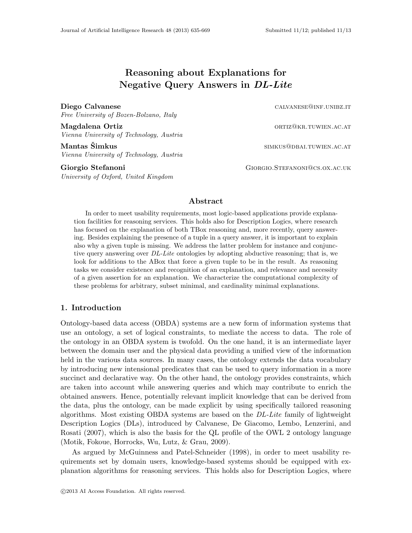# Reasoning about Explanations for Negative Query Answers in DL-Lite

Diego Calvanese calvanese calvanese calvanese calvanese calvanese calvanese calvanese calvanese calvanese calvanese calvanese calvanese calvanese calvanese calvanese calvanese calvanese calvanese calvanese calvanese calvan

Free University of Bozen-Bolzano, Italy

Magdalena Ortiz **ortiz** and the control of the control of the control of the control of the control of the control of the control of the control of the control of the control of the control of the control of the control of Vienna University of Technology, Austria

Mantas Simkus ˇ simkus@dbai.tuwien.ac.at Vienna University of Technology, Austria

University of Oxford, United Kingdom

Giorgio Stefanoni Giorgio Stefanoni Giorgio Stefanoni Giorgio Stefanoni Giorgio Stefanoni Giorgio Stefanoni Giorgio Stefanoni Giorgio Stefanoni Giorgio Stefanoni Giorgio Stefanoni Giorgio Stefanoni Giorgio Stefanoni Giorgi

# Abstract

In order to meet usability requirements, most logic-based applications provide explanation facilities for reasoning services. This holds also for Description Logics, where research has focused on the explanation of both TBox reasoning and, more recently, query answering. Besides explaining the presence of a tuple in a query answer, it is important to explain also why a given tuple is missing. We address the latter problem for instance and conjunctive query answering over DL-Lite ontologies by adopting abductive reasoning; that is, we look for additions to the ABox that force a given tuple to be in the result. As reasoning tasks we consider existence and recognition of an explanation, and relevance and necessity of a given assertion for an explanation. We characterize the computational complexity of these problems for arbitrary, subset minimal, and cardinality minimal explanations.

# 1. Introduction

Ontology-based data access (OBDA) systems are a new form of information systems that use an ontology, a set of logical constraints, to mediate the access to data. The role of the ontology in an OBDA system is twofold. On the one hand, it is an intermediate layer between the domain user and the physical data providing a unified view of the information held in the various data sources. In many cases, the ontology extends the data vocabulary by introducing new intensional predicates that can be used to query information in a more succinct and declarative way. On the other hand, the ontology provides constraints, which are taken into account while answering queries and which may contribute to enrich the obtained answers. Hence, potentially relevant implicit knowledge that can be derived from the data, plus the ontology, can be made explicit by using specifically tailored reasoning algorithms. Most existing OBDA systems are based on the DL-Lite family of lightweight Description Logics (DLs), introduced by Calvanese, De Giacomo, Lembo, Lenzerini, and Rosati (2007), which is also the basis for the QL profile of the OWL 2 ontology language (Motik, Fokoue, Horrocks, Wu, Lutz, & Grau, 2009).

As argued by McGuinness and Patel-Schneider (1998), in order to meet usability requirements set by domain users, knowledge-based systems should be equipped with explanation algorithms for reasoning services. This holds also for Description Logics, where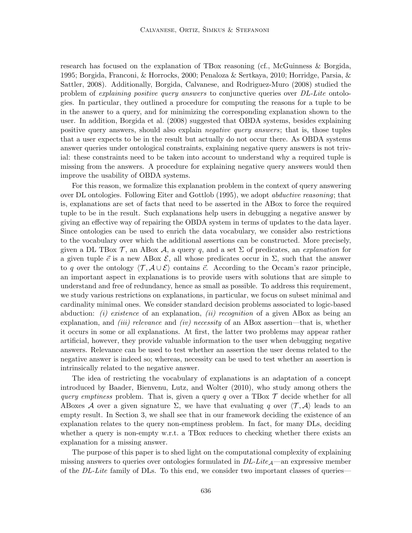research has focused on the explanation of TBox reasoning (cf., McGuinness & Borgida, 1995; Borgida, Franconi, & Horrocks, 2000; Penaloza & Sertkaya, 2010; Horridge, Parsia, & Sattler, 2008). Additionally, Borgida, Calvanese, and Rodriguez-Muro (2008) studied the problem of explaining positive query answers to conjunctive queries over DL-Lite ontologies. In particular, they outlined a procedure for computing the reasons for a tuple to be in the answer to a query, and for minimizing the corresponding explanation shown to the user. In addition, Borgida et al. (2008) suggested that OBDA systems, besides explaining positive query answers, should also explain negative query answers; that is, those tuples that a user expects to be in the result but actually do not occur there. As OBDA systems answer queries under ontological constraints, explaining negative query answers is not trivial: these constraints need to be taken into account to understand why a required tuple is missing from the answers. A procedure for explaining negative query answers would then improve the usability of OBDA systems.

For this reason, we formalize this explanation problem in the context of query answering over DL ontologies. Following Eiter and Gottlob (1995), we adopt abductive reasoning; that is, explanations are set of facts that need to be asserted in the ABox to force the required tuple to be in the result. Such explanations help users in debugging a negative answer by giving an effective way of repairing the OBDA system in terms of updates to the data layer. Since ontologies can be used to enrich the data vocabulary, we consider also restrictions to the vocabulary over which the additional assertions can be constructed. More precisely, given a DL TBox  $\mathcal{T}$ , an ABox  $\mathcal{A}$ , a query q, and a set  $\Sigma$  of predicates, an explanation for a given tuple  $\vec{c}$  is a new ABox  $\mathcal{E}$ , all whose predicates occur in  $\Sigma$ , such that the answer to q over the ontology  $\langle \mathcal{T}, \mathcal{A} \cup \mathcal{E} \rangle$  contains  $\vec{c}$ . According to the Occam's razor principle, an important aspect in explanations is to provide users with solutions that are simple to understand and free of redundancy, hence as small as possible. To address this requirement, we study various restrictions on explanations, in particular, we focus on subset minimal and cardinality minimal ones. We consider standard decision problems associated to logic-based abduction: *(i) existence* of an explanation, *(ii) recognition* of a given ABox as being an explanation, and *(iii) relevance* and *(iv) necessity* of an ABox assertion—that is, whether it occurs in some or all explanations. At first, the latter two problems may appear rather artificial, however, they provide valuable information to the user when debugging negative answers. Relevance can be used to test whether an assertion the user deems related to the negative answer is indeed so; whereas, necessity can be used to test whether an assertion is intrinsically related to the negative answer.

The idea of restricting the vocabulary of explanations is an adaptation of a concept introduced by Baader, Bienvenu, Lutz, and Wolter (2010), who study among others the *query emptiness* problem. That is, given a query q over a TBox  $\mathcal T$  decide whether for all ABoxes A over a given signature  $\Sigma$ , we have that evaluating q over  $\langle \mathcal{T}, \mathcal{A} \rangle$  leads to an empty result. In Section 3, we shall see that in our framework deciding the existence of an explanation relates to the query non-emptiness problem. In fact, for many DLs, deciding whether a query is non-empty w.r.t. a TBox reduces to checking whether there exists an explanation for a missing answer.

The purpose of this paper is to shed light on the computational complexity of explaining missing answers to queries over ontologies formulated in  $DL\text{-}Lie_{\mathcal{A}}$ —an expressive member of the  $DL\text{-}Lite$  family of DLs. To this end, we consider two important classes of queries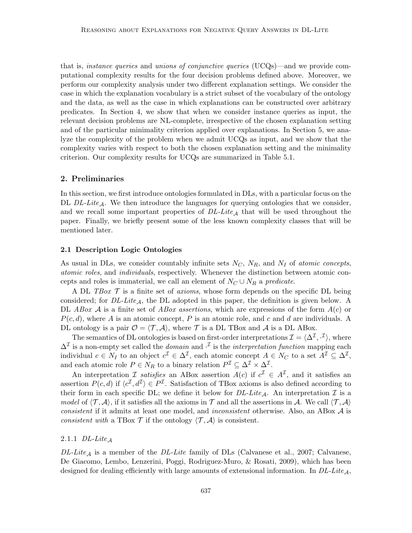that is, *instance queries* and *unions of conjunctive queries* (UCQs)—and we provide computational complexity results for the four decision problems defined above. Moreover, we perform our complexity analysis under two different explanation settings. We consider the case in which the explanation vocabulary is a strict subset of the vocabulary of the ontology and the data, as well as the case in which explanations can be constructed over arbitrary predicates. In Section 4, we show that when we consider instance queries as input, the relevant decision problems are NL-complete, irrespective of the chosen explanation setting and of the particular minimality criterion applied over explanations. In Section 5, we analyze the complexity of the problem when we admit UCQs as input, and we show that the complexity varies with respect to both the chosen explanation setting and the minimality criterion. Our complexity results for UCQs are summarized in Table 5.1.

# 2. Preliminaries

In this section, we first introduce ontologies formulated in DLs, with a particular focus on the DL  $DL-Lite_A$ . We then introduce the languages for querying ontologies that we consider, and we recall some important properties of  $DL\text{-}Life_{\mathcal{A}}$  that will be used throughout the paper. Finally, we briefly present some of the less known complexity classes that will be mentioned later.

## 2.1 Description Logic Ontologies

As usual in DLs, we consider countably infinite sets  $N_C$ ,  $N_R$ , and  $N_I$  of *atomic concepts*, atomic roles, and individuals, respectively. Whenever the distinction between atomic concepts and roles is immaterial, we call an element of  $N_C \cup N_R$  a predicate.

A DL TBox  $\mathcal T$  is a finite set of axioms, whose form depends on the specific DL being considered; for  $DL\text{-}Lite_A$ , the DL adopted in this paper, the definition is given below. A DL ABox A is a finite set of ABox assertions, which are expressions of the form  $A(c)$  or  $P(c, d)$ , where A is an atomic concept, P is an atomic role, and c and d are individuals. A DL ontology is a pair  $\mathcal{O} = \langle \mathcal{T}, \mathcal{A} \rangle$ , where T is a DL TBox and A is a DL ABox.

The semantics of DL ontologies is based on first-order interpretations  $\mathcal{I} = \langle \Delta^{\mathcal{I}}, \cdot^{\mathcal{I}} \rangle$ , where  $\Delta^{\mathcal{I}}$  is a non-empty set called the *domain* and  $\cdot^{\mathcal{I}}$  is the *interpretation function* mapping each individual  $c \in N_I$  to an object  $c^{\mathcal{I}} \in \Delta^{\mathcal{I}}$ , each atomic concept  $A \in N_C$  to a set  $A^{\mathcal{I}} \subseteq \Delta^{\mathcal{I}}$ , and each atomic role  $P \in N_R$  to a binary relation  $P^{\mathcal{I}} \subseteq \Delta^{\mathcal{I}} \times \Delta^{\mathcal{I}}$ .

An interpretation *I* satisfies an ABox assertion  $A(c)$  if  $c^{\mathcal{I}} \in A^{\mathcal{I}}$ , and it satisfies an assertion  $P(c, d)$  if  $\langle c^{\mathcal{I}}, d^{\mathcal{I}} \rangle \in P^{\mathcal{I}}$ . Satisfaction of TBox axioms is also defined according to their form in each specific DL; we define it below for  $DL\text{-}Lite_A$ . An interpretation  $\mathcal I$  is a model of  $\langle \mathcal{T}, \mathcal{A} \rangle$ , if it satisfies all the axioms in T and all the assertions in A. We call  $\langle \mathcal{T}, \mathcal{A} \rangle$ consistent if it admits at least one model, and *inconsistent* otherwise. Also, an ABox  $A$  is consistent with a TBox  $\mathcal T$  if the ontology  $\langle \mathcal T, \mathcal A \rangle$  is consistent.

# 2.1.1  $DL\text{-}Like_A$

 $DL\text{-}Lie_A$  is a member of the  $DL\text{-}Lite$  family of DLs (Calvanese et al., 2007; Calvanese, De Giacomo, Lembo, Lenzerini, Poggi, Rodriguez-Muro, & Rosati, 2009), which has been designed for dealing efficiently with large amounts of extensional information. In  $DL\text{-}Lie_A$ ,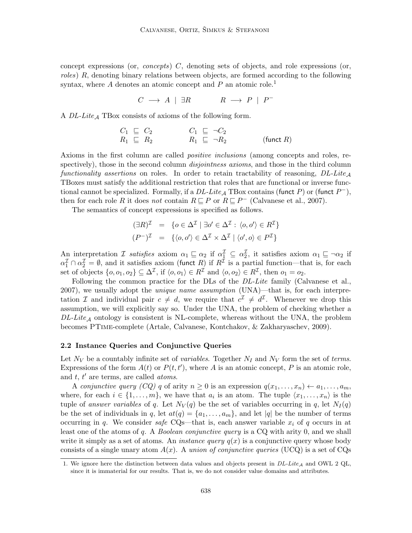concept expressions (or, *concepts*)  $C$ , denoting sets of objects, and role expressions (or, roles) R, denoting binary relations between objects, are formed according to the following syntax, where  $A$  denotes an atomic concept and  $P$  an atomic role.<sup>1</sup>

 $C \longrightarrow A \mid \exists R \qquad R \longrightarrow P \mid P^{-}$ 

A  $DL\text{-}Lie_{\mathcal{A}}$  TBox consists of axioms of the following form.

$$
C_1 \subseteq C_2 \qquad \qquad C_1 \subseteq \neg C_2 R_1 \subseteq R_2 \qquad \qquad R_1 \subseteq \neg R_2 \qquad \qquad (\text{funct } R)
$$

Axioms in the first column are called *positive inclusions* (among concepts and roles, respectively), those in the second column *disjointness axioms*, and those in the third column functionality assertions on roles. In order to retain tractability of reasoning,  $DL\text{-}Lite_A$ TBoxes must satisfy the additional restriction that roles that are functional or inverse functional cannot be specialized. Formally, if a  $DL\text{-}Lite_{\mathcal{A}}$  TBox contains (funct P) or (funct  $P^-$ ), then for each role R it does not contain  $R \sqsubseteq P$  or  $R \sqsubseteq P^-$  (Calvanese et al., 2007).

The semantics of concept expressions is specified as follows.

$$
(\exists R)^{\mathcal{I}} = \{o \in \Delta^{\mathcal{I}} \mid \exists o' \in \Delta^{\mathcal{I}} : \langle o, o' \rangle \in R^{\mathcal{I}}\}
$$

$$
(P^{-})^{\mathcal{I}} = \{ \langle o, o' \rangle \in \Delta^{\mathcal{I}} \times \Delta^{\mathcal{I}} \mid \langle o', o \rangle \in P^{\mathcal{I}} \}
$$

An interpretation *I* satisfies axiom  $\alpha_1 \sqsubseteq \alpha_2$  if  $\alpha_1^{\mathcal{I}} \subseteq \alpha_2^{\mathcal{I}}$ , it satisfies axiom  $\alpha_1 \sqsubseteq \neg \alpha_2$  if  $\alpha_1^{\mathcal{I}} \cap \alpha_2^{\mathcal{I}} = \emptyset$ , and it satisfies axiom (funct R) if  $R^{\mathcal{I}}$  is a partial function—that is, for each set of objects  $\{o, o_1, o_2\} \subseteq \Delta^{\mathcal{I}}$ , if  $\langle o, o_1 \rangle \in R^{\mathcal{I}}$  and  $\langle o, o_2 \rangle \in R^{\mathcal{I}}$ , then  $o_1 = o_2$ .

Following the common practice for the DLs of the DL-Lite family (Calvanese et al.,  $2007$ , we usually adopt the *unique name assumption* (UNA)—that is, for each interpretation I and individual pair  $c \neq d$ , we require that  $c^{\mathcal{I}} \neq d^{\mathcal{I}}$ . Whenever we drop this assumption, we will explicitly say so. Under the UNA, the problem of checking whether a  $DL\text{-}Lie_A$  ontology is consistent is NL-complete, whereas without the UNA, the problem becomes PTime-complete (Artale, Calvanese, Kontchakov, & Zakharyaschev, 2009).

## 2.2 Instance Queries and Conjunctive Queries

Let  $N_V$  be a countably infinite set of *variables*. Together  $N_I$  and  $N_V$  form the set of *terms*. Expressions of the form  $A(t)$  or  $P(t, t')$ , where A is an atomic concept, P is an atomic role, and  $t$ ,  $t'$  are terms, are called *atoms*.

A conjunctive query (CQ) q of arity  $n \geq 0$  is an expression  $q(x_1, \ldots, x_n) \leftarrow a_1, \ldots, a_m$ , where, for each  $i \in \{1, \ldots, m\}$ , we have that  $a_i$  is an atom. The tuple  $\langle x_1, \ldots, x_n \rangle$  is the tuple of answer variables of q. Let  $N_V(q)$  be the set of variables occurring in q, let  $N_I(q)$ be the set of individuals in q, let  $at(q) = \{a_1, \ldots, a_m\}$ , and let |q| be the number of terms occurring in q. We consider safe CQs—that is, each answer variable  $x_i$  of q occurs in at least one of the atoms of q. A Boolean conjunctive query is a CQ with arity 0, and we shall write it simply as a set of atoms. An *instance query*  $q(x)$  is a conjunctive query whose body consists of a single unary atom  $A(x)$ . A union of conjunctive queries (UCQ) is a set of CQs

<sup>1.</sup> We ignore here the distinction between data values and objects present in  $DL\text{-}Lie_A$  and OWL 2 QL, since it is immaterial for our results. That is, we do not consider value domains and attributes.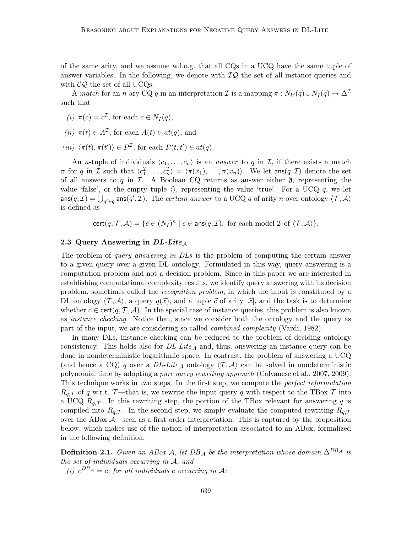of the same arity, and we assume w.l.o.g. that all CQs in a UCQ have the same tuple of answer variables. In the following, we denote with  $IQ$  the set of all instance queries and with  $CQ$  the set of all UCQs.

A match for an n-ary CQ q in an interpretation I is a mapping  $\pi : N_V(q) \cup N_I(q) \to \Delta^{\mathcal{I}}$ such that

- (*i*)  $\pi(c) = c^{\mathcal{I}}$ , for each  $c \in N_I(q)$ ,
- (ii)  $\pi(t) \in A^{\mathcal{I}}$ , for each  $A(t) \in at(q)$ , and

(iii)  $\langle \pi(t), \pi(t') \rangle \in P^{\mathcal{I}}$ , for each  $P(t, t') \in at(q)$ .

An *n*-tuple of individuals  $\langle c_1, \ldots, c_n \rangle$  is an answer to q in I, if there exists a match  $\pi$  for q in  $\mathcal I$  such that  $\langle c_1^{\mathcal I}, \ldots, c_n^{\mathcal I} \rangle = \langle \pi(x_1), \ldots, \pi(x_n) \rangle$ . We let  $\text{ans}(q, \mathcal I)$  denote the set of all answers to q in  $\mathcal I$ . A Boolean CQ returns as answer either  $\emptyset$ , representing the value 'false', or the empty tuple  $\langle \rangle$ , representing the value 'true'. For a UCQ q, we let  $\mathsf{ans}(q,\mathcal{I}) = \bigcup_{q'\in q} \mathsf{ans}(q',\mathcal{I}).$  The certain answer to a UCQ  $q$  of arity n over ontology  $\langle \mathcal{T}, \mathcal{A} \rangle$ is defined as

 $\text{cert}(q, \mathcal{T}, \mathcal{A}) = \{\vec{c} \in (N_I)^n \mid \vec{c} \in \text{ans}(q, \mathcal{I}), \text{ for each model } \mathcal{I} \text{ of } \langle \mathcal{T}, \mathcal{A} \rangle\}.$ 

# 2.3 Query Answering in  $DL\text{-}Life_A$

The problem of *query answering in DLs* is the problem of computing the certain answer to a given query over a given DL ontology. Formulated in this way, query answering is a computation problem and not a decision problem. Since in this paper we are interested in establishing computational complexity results, we identify query answering with its decision problem, sometimes called the recognition problem, in which the input is constituted by a DL ontology  $\langle \mathcal{T}, \mathcal{A} \rangle$ , a query  $q(\vec{x})$ , and a tuple  $\vec{c}$  of arity  $|\vec{x}|$ , and the task is to determine whether  $\vec{c} \in \text{cert}(q, \mathcal{T}, \mathcal{A})$ . In the special case of instance queries, this problem is also known as instance checking. Notice that, since we consider both the ontology and the query as part of the input, we are considering so-called combined complexity (Vardi, 1982).

In many DLs, instance checking can be reduced to the problem of deciding ontology consistency. This holds also for  $DL\text{-}Lie_{\mathcal{A}}$  and, thus, answering an instance query can be done in nondeterministic logarithmic space. In contrast, the problem of answering a UCQ (and hence a CQ) q over a DL-Lite<sub>A</sub> ontology  $\langle \mathcal{T}, \mathcal{A} \rangle$  can be solved in nondeterministic polynomial time by adopting a pure query rewriting approach (Calvanese et al., 2007, 2009). This technique works in two steps. In the first step, we compute the *perfect reformulation*  $R_{q,\mathcal{T}}$  of q w.r.t.  $\mathcal{T}$ —that is, we rewrite the input query q with respect to the TBox  $\mathcal{T}$  into a UCQ  $R_{q,\mathcal{T}}$ . In this rewriting step, the portion of the TBox relevant for answering q is compiled into  $R_{q,\mathcal{T}}$ . In the second step, we simply evaluate the computed rewriting  $R_{q,\mathcal{T}}$ over the ABox  $\mathcal{A}$ —seen as a first order interpretation. This is captured by the proposition below, which makes use of the notion of interpretation associated to an ABox, formalized in the following definition.

**Definition 2.1.** Given an ABox A, let DB<sub>A</sub> be the interpretation whose domain  $\Delta^{DB_A}$  is the set of individuals occurring in A, and

(i)  $c^{DB_A} = c$ , for all individuals c occurring in A;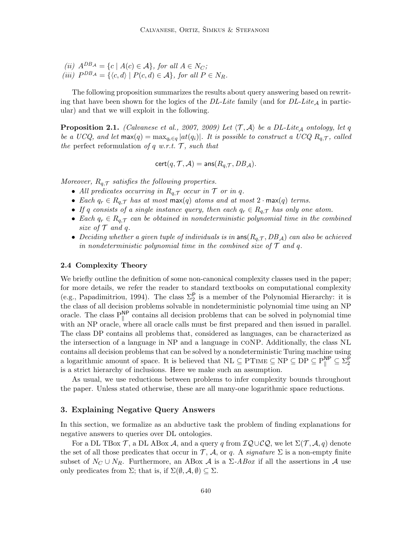(ii)  $A^{DB_A} = \{c \mid A(c) \in \mathcal{A}\}\$ , for all  $A \in N_C$ ; (iii)  $P^{DB_A} = \{ \langle c, d \rangle \mid P(c, d) \in \mathcal{A} \},$  for all  $P \in N_R$ .

The following proposition summarizes the results about query answering based on rewriting that have been shown for the logics of the  $DL\text{-}Life$  family (and for  $DL\text{-}Life_A$  in particular) and that we will exploit in the following.

**Proposition 2.1.** (Calvanese et al., 2007, 2009) Let  $\langle \mathcal{T}, \mathcal{A} \rangle$  be a DL-Lite<sub>A</sub> ontology, let q be a UCQ, and let  $\max(q) = \max_{q_i \in q} |at(q_i)|$ . It is possible to construct a UCQ  $R_{q,\mathcal{T}}$ , called the perfect reformulation of q w.r.t.  $\mathcal{T}$ , such that

$$
\mathsf{cert}(q,\mathcal{T},\mathcal{A}) = \mathsf{ans}(R_{q,\mathcal{T}},DB_\mathcal{A}).
$$

Moreover,  $R_{q,\mathcal{T}}$  satisfies the following properties.

- All predicates occurring in  $R_{q,\mathcal{T}}$  occur in  $\mathcal T$  or in q.
- Each  $q_r \in R_{q,\mathcal{T}}$  has at most max(q) atoms and at most  $2 \cdot \max(q)$  terms.
- If q consists of a single instance query, then each  $q_r \in R_q$ , has only one atom.
- Each  $q_r \in R_{q,\mathcal{T}}$  can be obtained in nondeterministic polynomial time in the combined size of  $\mathcal T$  and q.
- Deciding whether a given tuple of individuals is in  $\text{ans}(R_{a,T},DB_A)$  can also be achieved in nondeterministic polynomial time in the combined size of  $\mathcal T$  and q.

# 2.4 Complexity Theory

We briefly outline the definition of some non-canonical complexity classes used in the paper; for more details, we refer the reader to standard textbooks on computational complexity (e.g., Papadimitriou, 1994). The class  $\Sigma_2^{\mathsf{P}}$  is a member of the Polynomial Hierarchy: it is the class of all decision problems solvable in nondeterministic polynomial time using an NP oracle. The class  $P_{\parallel}^{\text{NP}}$  contains all decision problems that can be solved in polynomial time with an NP oracle, where all oracle calls must be first prepared and then issued in parallel. The class DP contains all problems that, considered as languages, can be characterized as the intersection of a language in NP and a language in coNP. Additionally, the class NL contains all decision problems that can be solved by a nondeterministic Turing machine using a logarithmic amount of space. It is believed that  $NL \subseteq PTIME \subseteq NP \subseteq DP \subseteq P_{\parallel}^{NP} \subseteq \Sigma_2^P$ is a strict hierarchy of inclusions. Here we make such an assumption.

As usual, we use reductions between problems to infer complexity bounds throughout the paper. Unless stated otherwise, these are all many-one logarithmic space reductions.

# 3. Explaining Negative Query Answers

In this section, we formalize as an abductive task the problem of finding explanations for negative answers to queries over DL ontologies.

For a DL TBox T, a DL ABox A, and a query q from  $IQ\cup CQ$ , we let  $\Sigma(\mathcal{T}, \mathcal{A}, q)$  denote the set of all those predicates that occur in T, A, or q. A signature  $\Sigma$  is a non-empty finite subset of  $N_C \cup N_R$ . Furthermore, an ABox A is a  $\Sigma$ -ABox if all the assertions in A use only predicates from  $\Sigma$ ; that is, if  $\Sigma(\emptyset, \mathcal{A}, \emptyset) \subset \Sigma$ .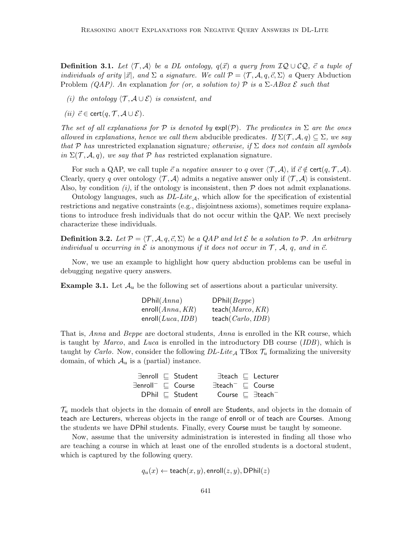**Definition 3.1.** Let  $\langle \mathcal{T}, \mathcal{A} \rangle$  be a DL ontology,  $q(\vec{x})$  a query from  $IQ \cup CQ$ ,  $\vec{c}$  a tuple of individuals of arity  $|\vec{x}|$ , and  $\Sigma$  a signature. We call  $\mathcal{P} = \langle \mathcal{T}, \mathcal{A}, q, \vec{c}, \Sigma \rangle$  a Query Abduction Problem (QAP). An explanation for (or, a solution to) P is a  $\Sigma$ -ABox  $\mathcal E$  such that

- (i) the ontology  $\langle \mathcal{T}, \mathcal{A} \cup \mathcal{E} \rangle$  is consistent, and
- (ii)  $\vec{c} \in \text{cert}(q, \mathcal{T}, \mathcal{A} \cup \mathcal{E}).$

The set of all explanations for P is denoted by  $\exp(\mathcal{P})$ . The predicates in  $\Sigma$  are the ones allowed in explanations, hence we call them abducible predicates. If  $\Sigma(\mathcal{T}, \mathcal{A}, q) \subseteq \Sigma$ , we say that P has unrestricted explanation signature; otherwise, if  $\Sigma$  does not contain all symbols in  $\Sigma(\mathcal{T}, \mathcal{A}, q)$ , we say that P has restricted explanation signature.

For such a QAP, we call tuple  $\vec{c}$  a negative answer to q over  $\langle \mathcal{T}, \mathcal{A} \rangle$ , if  $\vec{c} \notin \text{cert}(q, \mathcal{T}, \mathcal{A})$ . Clearly, query q over ontology  $\langle \mathcal{T}, \mathcal{A} \rangle$  admits a negative answer only if  $\langle \mathcal{T}, \mathcal{A} \rangle$  is consistent. Also, by condition  $(i)$ , if the ontology is inconsistent, then  $P$  does not admit explanations.

Ontology languages, such as  $DL\text{-}Lite_A$ , which allow for the specification of existential restrictions and negative constraints (e.g., disjointness axioms), sometimes require explanations to introduce fresh individuals that do not occur within the QAP. We next precisely characterize these individuals.

**Definition 3.2.** Let  $\mathcal{P} = \langle \mathcal{T}, \mathcal{A}, q, \vec{c}, \Sigma \rangle$  be a QAP and let E be a solution to P. An arbitrary individual u occurring in  $\mathcal E$  is anonymous if it does not occur in  $\mathcal T$ ,  $\mathcal A$ ,  $q$ , and in  $\vec c$ .

Now, we use an example to highlight how query abduction problems can be useful in debugging negative query answers.

**Example 3.1.** Let  $\mathcal{A}_u$  be the following set of assertions about a particular university.

| DPhil(Anna)          | DPhil(Beppe)         |
|----------------------|----------------------|
| enroll $(Anna, KR)$  | teach $Marco, KR$    |
| enroll $(Luca, IDB)$ | teach $(Carlo, IDB)$ |

That is, *Anna* and *Beppe* are doctoral students, *Anna* is enrolled in the KR course, which is taught by *Marco*, and *Luca* is enrolled in the introductory DB course *(IDB)*, which is taught by *Carlo*. Now, consider the following  $DL\text{-}Lie_{\mathcal{A}}$  TBox  $\mathcal{T}_u$  formalizing the university domain, of which  $\mathcal{A}_u$  is a (partial) instance.

|                                            | $\exists$ enroll $\Box$ Student |                                       | $\exists$ teach $\Box$ Lecturer      |
|--------------------------------------------|---------------------------------|---------------------------------------|--------------------------------------|
| $\exists$ enroll $\top$ $\sqsubset$ Course |                                 | $\exists$ teach $^- \sqsubset$ Course |                                      |
|                                            | $DPhil \n\subset Student$       |                                       | Course $\Box$ $\exists$ teach $\Box$ |

 $\mathcal{T}_u$  models that objects in the domain of enroll are Students, and objects in the domain of teach are Lecturers, whereas objects in the range of enroll or of teach are Courses. Among the students we have DPhil students. Finally, every Course must be taught by someone.

Now, assume that the university administration is interested in finding all those who are teaching a course in which at least one of the enrolled students is a doctoral student, which is captured by the following query.

$$
q_u(x) \leftarrow \mathsf{teach}(x, y), \mathsf{enroll}(z, y), \mathsf{DPhil}(z)
$$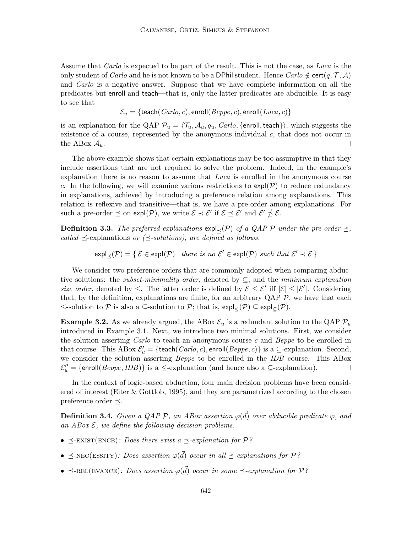Assume that Carlo is expected to be part of the result. This is not the case, as Luca is the only student of Carlo and he is not known to be a DPhil student. Hence Carlo  $\notin$  cert $(q, \mathcal{T}, \mathcal{A})$ and Carlo is a negative answer. Suppose that we have complete information on all the predicates but enroll and teach—that is, only the latter predicates are abducible. It is easy to see that

$$
\mathcal{E}_u = \{ \text{teach}(Carlo, c), \text{enroll}(Beppe, c), \text{enroll}(Luca, c) \}
$$

is an explanation for the QAP  $\mathcal{P}_u = \langle \mathcal{T}_u, \mathcal{A}_u, q_u, \text{Carlo}, \{\text{enroll}, \text{teach}\}\rangle$ , which suggests the existence of a course, represented by the anonymous individual c, that does not occur in the ABox  $\mathcal{A}_u$ .  $\Box$ 

The above example shows that certain explanations may be too assumptive in that they include assertions that are not required to solve the problem. Indeed, in the example's explanation there is no reason to assume that  $Luca$  is enrolled in the anonymous course c. In the following, we will examine various restrictions to  $\exp(\mathcal{P})$  to reduce redundancy in explanations, achieved by introducing a preference relation among explanations. This relation is reflexive and transitive—that is, we have a pre-order among explanations. For such a pre-order  $\preceq$  on expl $(\mathcal{P})$ , we write  $\mathcal{E} \prec \mathcal{E}'$  if  $\mathcal{E} \preceq \mathcal{E}'$  and  $\mathcal{E}' \npreceq \mathcal{E}$ .

**Definition 3.3.** The preferred explanations  $\exp(\chi(\mathcal{P}))$  of a QAP  $\mathcal{P}$  under the pre-order  $\preceq$ , called  $\preceq$ -explanations or  $(\preceq$ -solutions), are defined as follows.

 $\exp\left[\frac{1}{2}(\mathcal{P})\right] = \{ \mathcal{E} \in \exp(\mathcal{P}) \mid \text{there is no } \mathcal{E}' \in \exp(\mathcal{P}) \text{ such that } \mathcal{E}' \prec \mathcal{E} \}$ 

We consider two preference orders that are commonly adopted when comparing abductive solutions: the *subset-minimality order*, denoted by  $\subseteq$ , and the *minimum explanation* size order, denoted by  $\leq$ . The latter order is defined by  $\mathcal{E} \leq \mathcal{E}'$  iff  $|\mathcal{E}| \leq |\mathcal{E}'|$ . Considering that, by the definition, explanations are finite, for an arbitrary  $QAP \mathcal{P}$ , we have that each  $\le$ -solution to  $P$  is also a ⊆-solution to  $P$ ; that is,  $\exp{\phi}$  ⊆  $\exp{\phi}$ .

**Example 3.2.** As we already argued, the ABox  $\mathcal{E}_u$  is a redundant solution to the QAP  $\mathcal{P}_u$ introduced in Example 3.1. Next, we introduce two minimal solutions. First, we consider the solution asserting Carlo to teach an anonymous course c and Beppe to be enrolled in that course. This ABox  $\mathcal{E}'_u = \{ \text{teach}(Carlo, c), \text{enroll}(Beppe, c) \}$  is a  $\subseteq$ -explanation. Second, we consider the solution asserting *Beppe* to be enrolled in the *IDB* course. This ABox  $\mathcal{E}_{u}'' = \{\text{enroll}(Beppe, IDB)\}\$ is a  $\leq$ -explanation (and hence also a  $\subseteq$ -explanation).  $\Box$ 

In the context of logic-based abduction, four main decision problems have been considered of interest (Eiter & Gottlob, 1995), and they are parametrized according to the chosen preference order  $\prec$ .

**Definition 3.4.** Given a QAP P, an ABox assertion  $\varphi(\vec{d})$  over abducible predicate  $\varphi$ , and an  $AB$ ox  $\mathcal{E}$ , we define the following decision problems.

- $\preceq$ -EXIST(ENCE): Does there exist a  $\preceq$ -explanation for P?
- $\preceq$ -NEC(ESSITY): Does assertion  $\varphi(\vec{d})$  occur in all  $\preceq$ -explanations for  $\mathcal{P}$ ?
- $\preceq$ -REL(EVANCE): Does assertion  $\varphi(\vec{d})$  occur in some  $\preceq$ -explanation for  $\mathcal{P}$ ?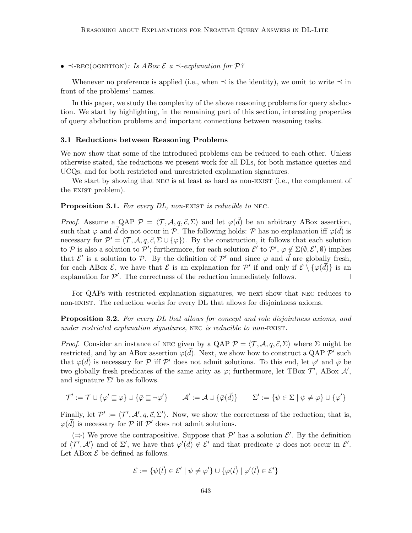•  $\preceq$ -REC(OGNITION): Is ABox  $\mathcal E$  a  $\preceq$ -explanation for  $\mathcal P$ ?

Whenever no preference is applied (i.e., when  $\preceq$  is the identity), we omit to write  $\preceq$  in front of the problems' names.

In this paper, we study the complexity of the above reasoning problems for query abduction. We start by highlighting, in the remaining part of this section, interesting properties of query abduction problems and important connections between reasoning tasks.

#### 3.1 Reductions between Reasoning Problems

We now show that some of the introduced problems can be reduced to each other. Unless otherwise stated, the reductions we present work for all DLs, for both instance queries and UCQs, and for both restricted and unrestricted explanation signatures.

We start by showing that NEC is at least as hard as non-EXIST (i.e., the complement of the EXIST problem).

**Proposition 3.1.** For every  $DL$ , non-EXIST is reducible to NEC.

*Proof.* Assume a QAP  $\mathcal{P} = \langle \mathcal{T}, \mathcal{A}, q, \vec{c}, \Sigma \rangle$  and let  $\varphi(\vec{d})$  be an arbitrary ABox assertion, such that  $\varphi$  and  $\vec{d}$  do not occur in P. The following holds: P has no explanation iff  $\varphi(\vec{d})$  is necessary for  $\mathcal{P}' = \langle \mathcal{T}, \mathcal{A}, q, \vec{c}, \Sigma \cup \{\varphi\} \rangle$ . By the construction, it follows that each solution to P is also a solution to P'; furthermore, for each solution  $\mathcal{E}'$  to P',  $\varphi \notin \Sigma(\emptyset, \mathcal{E}', \emptyset)$  implies that  $\mathcal{E}'$  is a solution to  $\mathcal{P}$ . By the definition of  $\mathcal{P}'$  and since  $\varphi$  and  $\vec{d}$  are globally fresh, for each ABox  $\mathcal{E}$ , we have that  $\mathcal{E}$  is an explanation for  $\mathcal{P}'$  if and only if  $\mathcal{E} \setminus {\varphi(\vec{d})}$  is an explanation for  $\mathcal{P}'$ . The correctness of the reduction immediately follows.  $\Box$ 

For QAPs with restricted explanation signatures, we next show that nec reduces to non-exist. The reduction works for every DL that allows for disjointness axioms.

**Proposition 3.2.** For every DL that allows for concept and role disjointness axioms, and under restricted explanation signatures, NEC is reducible to non-EXIST.

*Proof.* Consider an instance of NEC given by a QAP  $P = \langle T, A, q, \vec{c}, \Sigma \rangle$  where  $\Sigma$  might be restricted, and by an ABox assertion  $\varphi(\vec{d})$ . Next, we show how to construct a QAP  $\mathcal{P}'$  such that  $\varphi(\vec{d})$  is necessary for P iff P' does not admit solutions. To this end, let  $\varphi'$  and  $\bar{\varphi}$  be two globally fresh predicates of the same arity as  $\varphi$ ; furthermore, let TBox  $\mathcal{T}'$ , ABox  $\mathcal{A}'$ , and signature  $\Sigma'$  be as follows.

$$
\mathcal{T}' := \mathcal{T} \cup \{\varphi' \sqsubseteq \varphi\} \cup \{\bar{\varphi} \sqsubseteq \neg \varphi'\} \qquad \mathcal{A}' := \mathcal{A} \cup \{\bar{\varphi}(\vec{d})\} \qquad \Sigma' := \{\psi \in \Sigma \mid \psi \neq \varphi\} \cup \{\varphi'\}
$$

Finally, let  $\mathcal{P}' := \langle \mathcal{T}', \mathcal{A}', q, \vec{c}, \Sigma' \rangle$ . Now, we show the correctness of the reduction; that is,  $\varphi(\vec{d})$  is necessary for  $\mathcal P$  iff  $\mathcal P'$  does not admit solutions.

(⇒) We prove the contrapositive. Suppose that  $\mathcal{P}'$  has a solution  $\mathcal{E}'$ . By the definition of  $\langle \mathcal{T}', \mathcal{A}' \rangle$  and of  $\Sigma'$ , we have that  $\varphi'(\vec{d}) \notin \mathcal{E}'$  and that predicate  $\varphi$  does not occur in  $\mathcal{E}'$ . Let ABox  $\mathcal E$  be defined as follows.

$$
\mathcal{E} := \{ \psi(\vec{t}) \in \mathcal{E}' \mid \psi \neq \varphi' \} \cup \{ \varphi(\vec{t}) \mid \varphi'(\vec{t}) \in \mathcal{E}' \}
$$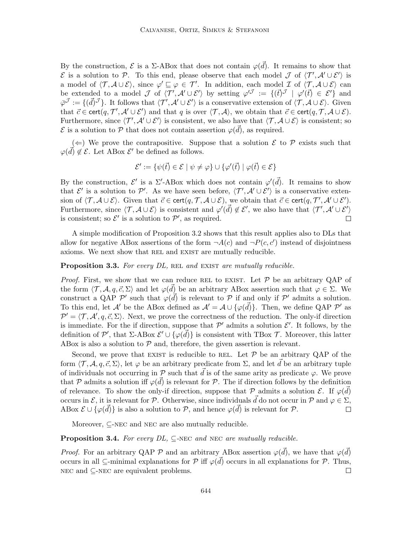By the construction,  $\mathcal E$  is a  $\Sigma$ -ABox that does not contain  $\varphi(\vec{d})$ . It remains to show that  $\mathcal E$  is a solution to P. To this end, please observe that each model J of  $\langle T', \mathcal A' \cup \mathcal E' \rangle$  is a model of  $\langle \mathcal{T}, \mathcal{A} \cup \mathcal{E} \rangle$ , since  $\varphi' \sqsubseteq \varphi \in \mathcal{T}'$ . In addition, each model  $\mathcal{I}$  of  $\langle \mathcal{T}, \mathcal{A} \cup \mathcal{E} \rangle$  can be extended to a model J of  $\langle T', \mathcal{A}' \cup \mathcal{E}' \rangle$  by setting  $\varphi'^J := \{(\vec{t})^J \mid \varphi'(\vec{t}) \in \mathcal{E}'\}$  and  $\overline{\varphi}^{\mathcal{J}} := \{(\overrightarrow{d})^{\mathcal{J}}\}.$  It follows that  $\langle \mathcal{T}', \mathcal{A}' \cup \mathcal{E}' \rangle$  is a conservative extension of  $\langle \mathcal{T}, \mathcal{A} \cup \mathcal{E} \rangle$ . Given that  $\vec{c} \in \text{cert}(q, \mathcal{T}', \mathcal{A}' \cup \mathcal{E}')$  and that q is over  $\langle \mathcal{T}, \mathcal{A} \rangle$ , we obtain that  $\vec{c} \in \text{cert}(q, \mathcal{T}, \mathcal{A} \cup \mathcal{E})$ . Furthermore, since  $\langle T', \mathcal{A}' \cup \mathcal{E}' \rangle$  is consistent, we also have that  $\langle T, \mathcal{A} \cup \mathcal{E} \rangle$  is consistent; so  $\mathcal E$  is a solution to  $\mathcal P$  that does not contain assertion  $\varphi(\vec{d})$ , as required.

(←) We prove the contrapositive. Suppose that a solution  $\mathcal E$  to  $\mathcal P$  exists such that  $\varphi(\vec{d}) \notin \mathcal{E}$ . Let ABox  $\mathcal{E}'$  be defined as follows.

$$
\mathcal{E}' := \{ \psi(\vec{t}) \in \mathcal{E} \mid \psi \neq \varphi \} \cup \{ \varphi'(\vec{t}) \mid \varphi(\vec{t}) \in \mathcal{E} \}
$$

By the construction,  $\mathcal{E}'$  is a  $\Sigma'$ -ABox which does not contain  $\varphi'(\vec{d})$ . It remains to show that  $\mathcal{E}'$  is a solution to  $\mathcal{P}'$ . As we have seen before,  $\langle \mathcal{T}', \mathcal{A}' \cup \mathcal{E}' \rangle$  is a conservative extension of  $\langle \mathcal{T}, \mathcal{A} \cup \mathcal{E} \rangle$ . Given that  $\vec{c} \in \text{cert}(q, \mathcal{T}, \mathcal{A} \cup \mathcal{E})$ , we obtain that  $\vec{c} \in \text{cert}(q, \mathcal{T}', \mathcal{A}' \cup \mathcal{E}')$ . Furthermore, since  $\langle \mathcal{T}, \mathcal{A} \cup \mathcal{E} \rangle$  is consistent and  $\varphi'(\vec{d}) \notin \mathcal{E}'$ , we also have that  $\langle \mathcal{T}', \mathcal{A}' \cup \mathcal{E}' \rangle$ is consistent; so  $\mathcal{E}'$  is a solution to  $\mathcal{P}'$ , as required.  $\Box$ 

A simple modification of Proposition 3.2 shows that this result applies also to DLs that allow for negative ABox assertions of the form  $\neg A(c)$  and  $\neg P(c, c')$  instead of disjointness axioms. We next show that REL and EXIST are mutually reducible.

Proposition 3.3. For every DL, REL and EXIST are mutually reducible.

*Proof.* First, we show that we can reduce REL to EXIST. Let  $P$  be an arbitrary QAP of the form  $\langle \mathcal{T}, \mathcal{A}, q, \vec{c}, \Sigma \rangle$  and let  $\varphi(\vec{d})$  be an arbitrary ABox assertion such that  $\varphi \in \Sigma$ . We construct a QAP  $\mathcal{P}'$  such that  $\varphi(\vec{d})$  is relevant to  $\mathcal P$  if and only if  $\mathcal P'$  admits a solution. To this end, let A' be the ABox defined as  $\mathcal{A}' = \mathcal{A} \cup {\varphi(\vec{d})}.$  Then, we define QAP  $\mathcal{P}'$  as  $\mathcal{P}' = \langle \mathcal{T}, \mathcal{A}', q, \vec{c}, \Sigma \rangle$ . Next, we prove the correctness of the reduction. The only-if direction is immediate. For the if direction, suppose that  $\mathcal{P}'$  admits a solution  $\mathcal{E}'$ . It follows, by the definition of P', that  $\Sigma$ -ABox  $\mathcal{E}' \cup {\{\varphi(\vec{d})\}}$  is consistent with TBox T. Moreover, this latter ABox is also a solution to  $P$  and, therefore, the given assertion is relevant.

Second, we prove that EXIST is reducible to REL. Let  $P$  be an arbitrary QAP of the form  $\langle \mathcal{T}, \mathcal{A}, q, \vec{c}, \Sigma \rangle$ , let  $\varphi$  be an arbitrary predicate from  $\Sigma$ , and let  $\vec{d}$  be an arbitrary tuple of individuals not occurring in  $\mathcal P$  such that  $\tilde d$  is of the same arity as predicate  $\varphi$ . We prove that P admits a solution iff  $\varphi(\vec{d})$  is relevant for P. The if direction follows by the definition of relevance. To show the only-if direction, suppose that  $P$  admits a solution  $\mathcal{E}$ . If  $\varphi(\vec{d})$ occurs in E, it is relevant for P. Otherwise, since individuals  $\vec{d}$  do not occur in P and  $\varphi \in \Sigma$ , ABox  $\mathcal{E} \cup {\varphi(\vec{d})}$  is also a solution to  $\mathcal{P}$ , and hence  $\varphi(\vec{d})$  is relevant for  $\mathcal{P}$ .  $\Box$ 

Moreover, ⊂-NEC and NEC are also mutually reducible.

**Proposition 3.4.** For every  $DL$ ,  $\subseteq$ -NEC and NEC are mutually reducible.

*Proof.* For an arbitrary QAP  $\mathcal P$  and an arbitrary ABox assertion  $\varphi(\vec{d})$ , we have that  $\varphi(\vec{d})$ occurs in all  $\subseteq$ -minimal explanations for  $P$  iff  $\varphi(\vec{d})$  occurs in all explanations for  $P$ . Thus, NEC and  $\subseteq$ -NEC are equivalent problems.  $\Box$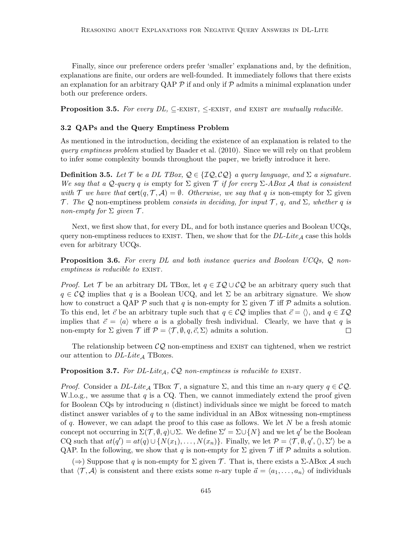Finally, since our preference orders prefer 'smaller' explanations and, by the definition, explanations are finite, our orders are well-founded. It immediately follows that there exists an explanation for an arbitrary QAP  $\mathcal P$  if and only if  $\mathcal P$  admits a minimal explanation under both our preference orders.

**Proposition 3.5.** For every  $DL$ ,  $\subseteq$ -EXIST,  $\le$ -EXIST, and EXIST are mutually reducible.

# 3.2 QAPs and the Query Emptiness Problem

As mentioned in the introduction, deciding the existence of an explanation is related to the query emptiness problem studied by Baader et al. (2010). Since we will rely on that problem to infer some complexity bounds throughout the paper, we briefly introduce it here.

**Definition 3.5.** Let T be a DL TBox,  $Q \in \{IQ, CQ\}$  a query language, and  $\Sigma$  a signature. We say that a Q-query q is empty for  $\Sigma$  given  $\mathcal T$  if for every  $\Sigma$ -ABox A that is consistent with T we have that  $\text{cert}(q, T, A) = \emptyset$ . Otherwise, we say that q is non-empty for  $\Sigma$  given T. The Q non-emptiness problem consists in deciding, for input T, q, and  $\Sigma$ , whether q is non-empty for  $\Sigma$  given  $\mathcal T$ .

Next, we first show that, for every DL, and for both instance queries and Boolean UCQs, query non-emptiness reduces to EXIST. Then, we show that for the  $DL\text{-}Life_{\mathcal{A}}$  case this holds even for arbitrary UCQs.

**Proposition 3.6.** For every DL and both instance queries and Boolean UCQs,  $\mathcal{Q}$  nonemptiness is reducible to EXIST.

*Proof.* Let  $\mathcal T$  be an arbitrary DL TBox, let  $q \in \mathcal{IQ} \cup \mathcal{CQ}$  be an arbitrary query such that  $q \in \mathcal{CQ}$  implies that q is a Boolean UCQ, and let  $\Sigma$  be an arbitrary signature. We show how to construct a QAP  $\mathcal P$  such that q is non-empty for  $\Sigma$  given  $\mathcal T$  iff  $\mathcal P$  admits a solution. To this end, let  $\vec{c}$  be an arbitrary tuple such that  $q \in \mathcal{CQ}$  implies that  $\vec{c} = \langle \rangle$ , and  $q \in \mathcal{IQ}$ implies that  $\vec{c} = \langle a \rangle$  where a is a globally fresh individual. Clearly, we have that q is non-empty for  $\Sigma$  given  $\mathcal T$  iff  $\mathcal P = \langle \mathcal T, \emptyset, q, \vec{c}, \Sigma \rangle$  admits a solution.  $\Box$ 

The relationship between  $CQ$  non-emptiness and EXIST can tightened, when we restrict our attention to  $DL\text{-}Lie_A$  TBoxes.

**Proposition 3.7.** For DL-Lite<sub>A</sub>,  $CQ$  non-emptiness is reducible to EXIST.

*Proof.* Consider a  $DL\text{-}Lite_A$  TBox  $\mathcal{T}$ , a signature  $\Sigma$ , and this time an n-ary query  $q \in \mathcal{CQ}$ . W.l.o.g., we assume that q is a CQ. Then, we cannot immediately extend the proof given for Boolean CQs by introducing  $n$  (distinct) individuals since we might be forced to match distinct answer variables of  $q$  to the same individual in an ABox witnessing non-emptiness of q. However, we can adapt the proof to this case as follows. We let  $N$  be a fresh atomic concept not occurring in  $\Sigma(\mathcal{T}, \emptyset, q) \cup \Sigma$ . We define  $\Sigma' = \Sigma \cup \{N\}$  and we let q' be the Boolean CQ such that  $at(q') = at(q) \cup \{N(x_1), \ldots, N(x_n)\}\.$  Finally, we let  $\mathcal{P} = \langle \mathcal{T}, \emptyset, q', \langle \rangle, \Sigma' \rangle$  be a QAP. In the following, we show that q is non-empty for  $\Sigma$  given  $\mathcal T$  iff  $\mathcal P$  admits a solution.

 $(\Rightarrow)$  Suppose that q is non-empty for  $\Sigma$  given T. That is, there exists a  $\Sigma$ -ABox A such that  $\langle \mathcal{T}, \mathcal{A} \rangle$  is consistent and there exists some *n*-ary tuple  $\vec{a} = \langle a_1, \ldots, a_n \rangle$  of individuals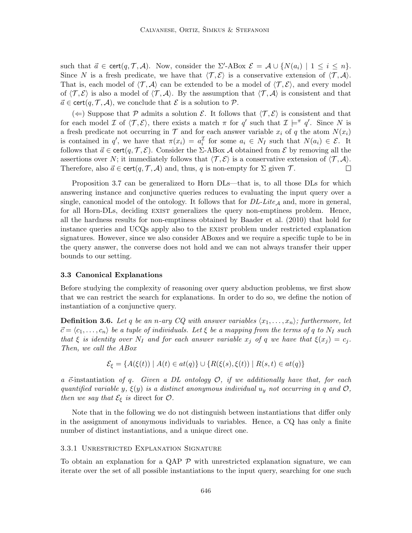such that  $\vec{a} \in \text{cert}(q, \mathcal{T}, \mathcal{A})$ . Now, consider the  $\Sigma'$ -ABox  $\mathcal{E} = \mathcal{A} \cup \{N(a_i) \mid 1 \leq i \leq n\}$ . Since N is a fresh predicate, we have that  $\langle \mathcal{T}, \mathcal{E} \rangle$  is a conservative extension of  $\langle \mathcal{T}, \mathcal{A} \rangle$ . That is, each model of  $\langle \mathcal{T}, \mathcal{A} \rangle$  can be extended to be a model of  $\langle \mathcal{T}, \mathcal{E} \rangle$ , and every model of  $\langle \mathcal{T}, \mathcal{E} \rangle$  is also a model of  $\langle \mathcal{T}, \mathcal{A} \rangle$ . By the assumption that  $\langle \mathcal{T}, \mathcal{A} \rangle$  is consistent and that  $\vec{a} \in \text{cert}(q, \mathcal{T}, \mathcal{A})$ , we conclude that  $\mathcal{E}$  is a solution to  $\mathcal{P}$ .

(←) Suppose that P admits a solution E. It follows that  $\langle \mathcal{T}, \mathcal{E} \rangle$  is consistent and that for each model  $\mathcal I$  of  $\langle \mathcal T, \mathcal E \rangle$ , there exists a match  $\pi$  for  $q'$  such that  $\mathcal I \models^{\pi} q'$ . Since N is a fresh predicate not occurring in  $\mathcal T$  and for each answer variable  $x_i$  of q the atom  $N(x_i)$ is contained in q', we have that  $\pi(x_i) = a_i^{\mathcal{I}}$  for some  $a_i \in N_I$  such that  $N(a_i) \in \mathcal{E}$ . It follows that  $\vec{a} \in \text{cert}(q, \mathcal{T}, \mathcal{E})$ . Consider the Σ-ABox A obtained from  $\mathcal{E}$  by removing all the assertions over N; it immediately follows that  $\langle \mathcal{T}, \mathcal{E} \rangle$  is a conservative extension of  $\langle \mathcal{T}, \mathcal{A} \rangle$ . Therefore, also  $\vec{a} \in \text{cert}(q, \mathcal{T}, \mathcal{A})$  and, thus, q is non-empty for  $\Sigma$  given  $\mathcal{T}$ .  $\Box$ 

Proposition 3.7 can be generalized to Horn DLs—that is, to all those DLs for which answering instance and conjunctive queries reduces to evaluating the input query over a single, canonical model of the ontology. It follows that for  $DL\text{-}Lie_A$  and, more in general, for all Horn-DLs, deciding exist generalizes the query non-emptiness problem. Hence, all the hardness results for non-emptiness obtained by Baader et al. (2010) that hold for instance queries and UCQs apply also to the exist problem under restricted explanation signatures. However, since we also consider ABoxes and we require a specific tuple to be in the query answer, the converse does not hold and we can not always transfer their upper bounds to our setting.

#### 3.3 Canonical Explanations

Before studying the complexity of reasoning over query abduction problems, we first show that we can restrict the search for explanations. In order to do so, we define the notion of instantiation of a conjunctive query.

**Definition 3.6.** Let q be an n-ary CQ with answer variables  $\langle x_1, \ldots, x_n \rangle$ ; furthermore, let  $\vec{c} = \langle c_1, \ldots, c_n \rangle$  be a tuple of individuals. Let  $\xi$  be a mapping from the terms of q to N<sub>I</sub> such that  $\xi$  is identity over  $N_I$  and for each answer variable  $x_j$  of q we have that  $\xi(x_j) = c_j$ . Then, we call the ABox

$$
\mathcal{E}_{\xi} = \{ A(\xi(t)) \mid A(t) \in at(q) \} \cup \{ R(\xi(s), \xi(t)) \mid R(s, t) \in at(q) \}
$$

a  $\vec{c}$ -instantiation of q. Given a DL ontology  $\mathcal{O}$ , if we additionally have that, for each quantified variable y,  $\xi(y)$  is a distinct anonymous individual  $u_y$  not occurring in q and  $\mathcal{O}$ , then we say that  $\mathcal{E}_{\xi}$  is direct for  $\mathcal{O}.$ 

Note that in the following we do not distinguish between instantiations that differ only in the assignment of anonymous individuals to variables. Hence, a CQ has only a finite number of distinct instantiations, and a unique direct one.

# 3.3.1 Unrestricted Explanation Signature

To obtain an explanation for a QAP  $\mathcal P$  with unrestricted explanation signature, we can iterate over the set of all possible instantiations to the input query, searching for one such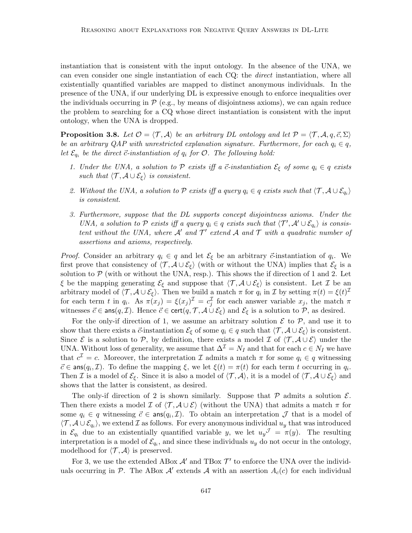instantiation that is consistent with the input ontology. In the absence of the UNA, we can even consider one single instantiation of each CQ: the direct instantiation, where all existentially quantified variables are mapped to distinct anonymous individuals. In the presence of the UNA, if our underlying DL is expressive enough to enforce inequalities over the individuals occurring in  $P$  (e.g., by means of disjointness axioms), we can again reduce the problem to searching for a CQ whose direct instantiation is consistent with the input ontology, when the UNA is dropped.

**Proposition 3.8.** Let  $\mathcal{O} = \langle \mathcal{T}, \mathcal{A} \rangle$  be an arbitrary DL ontology and let  $\mathcal{P} = \langle \mathcal{T}, \mathcal{A}, q, \vec{c}, \Sigma \rangle$ be an arbitrary QAP with unrestricted explanation signature. Furthermore, for each  $q_i \in q$ , let  $\mathcal{E}_{q_i}$  be the direct  $\vec{c}$ -instantiation of  $q_i$  for  $\mathcal{O}$ . The following hold:

- 1. Under the UNA, a solution to  $P$  exists iff a  $\vec{c}$ -instantiation  $\mathcal{E}_{\xi}$  of some  $q_i \in q$  exists such that  $\langle \mathcal{T}, \mathcal{A} \cup \mathcal{E}_{\xi} \rangle$  is consistent.
- 2. Without the UNA, a solution to  $P$  exists iff a query  $q_i \in q$  exists such that  $\langle \mathcal{T}, \mathcal{A} \cup \mathcal{E}_{q_i} \rangle$ is consistent.
- 3. Furthermore, suppose that the DL supports concept disjointness axioms. Under the UNA, a solution to P exists iff a query  $q_i \in q$  exists such that  $\langle T', \mathcal{A}' \cup \mathcal{E}_{q_i} \rangle$  is consistent without the UNA, where  $A'$  and  $T'$  extend  $A$  and  $T$  with a quadratic number of assertions and axioms, respectively.

*Proof.* Consider an arbitrary  $q_i \in q$  and let  $\mathcal{E}_{\xi}$  be an arbitrary  $\vec{c}$ -instantiation of  $q_i$ . We first prove that consistency of  $\langle \mathcal{T}, \mathcal{A} \cup \mathcal{E}_{\xi} \rangle$  (with or without the UNA) implies that  $\mathcal{E}_{\xi}$  is a solution to  $P$  (with or without the UNA, resp.). This shows the if direction of 1 and 2. Let ξ be the mapping generating  $\mathcal{E}_{\xi}$  and suppose that  $\langle \mathcal{T}, \mathcal{A} \cup \mathcal{E}_{\xi} \rangle$  is consistent. Let  $\mathcal{I}$  be an arbitrary model of  $\langle \mathcal{T}, \mathcal{A} \cup \mathcal{E}_{\xi} \rangle$ . Then we build a match  $\pi$  for  $q_i$  in  $\mathcal{I}$  by setting  $\pi(t) = \xi(t)^{\mathcal{I}}$ for each term t in  $q_i$ . As  $\pi(x_j) = \xi(x_j)^{\mathcal{I}} = c_j^{\mathcal{I}}$  for each answer variable  $x_j$ , the match  $\pi$ witnesses  $\vec{c} \in \text{ans}(q, \mathcal{I})$ . Hence  $\vec{c} \in \text{cert}(q, \mathcal{T}, \mathcal{A} \cup \mathcal{E}_{\xi})$  and  $\mathcal{E}_{\xi}$  is a solution to  $\mathcal{P}$ , as desired.

For the only-if direction of 1, we assume an arbitrary solution  $\mathcal E$  to  $\mathcal P$ , and use it to show that there exists a  $\vec{c}$ -instantiation  $\mathcal{E}_{\xi}$  of some  $q_i \in q$  such that  $\langle \mathcal{T}, \mathcal{A} \cup \mathcal{E}_{\xi} \rangle$  is consistent. Since  $\mathcal E$  is a solution to  $\mathcal P$ , by definition, there exists a model  $\mathcal I$  of  $\langle \mathcal T, \mathcal A \cup \mathcal E \rangle$  under the UNA. Without loss of generality, we assume that  $\Delta^{\mathcal{I}} = N_I$  and that for each  $c \in N_I$  we have that  $c^{\mathcal{I}} = c$ . Moreover, the interpretation  $\mathcal{I}$  admits a match  $\pi$  for some  $q_i \in q$  witnessing  $\vec{c} \in \text{ans}(q_i, \mathcal{I})$ . To define the mapping  $\xi$ , we let  $\xi(t) = \pi(t)$  for each term t occurring in  $q_i$ . Then I is a model of  $\mathcal{E}_{\xi}$ . Since it is also a model of  $\langle \mathcal{T}, \mathcal{A} \rangle$ , it is a model of  $\langle \mathcal{T}, \mathcal{A} \cup \mathcal{E}_{\xi} \rangle$  and shows that the latter is consistent, as desired.

The only-if direction of 2 is shown similarly. Suppose that  $P$  admits a solution  $\mathcal{E}$ . Then there exists a model I of  $\langle \mathcal{T}, \mathcal{A} \cup \mathcal{E} \rangle$  (without the UNA) that admits a match  $\pi$  for some  $q_i \in q$  witnessing  $\vec{c} \in \text{ans}(q_i, \mathcal{I})$ . To obtain an interpretation  $\mathcal{J}$  that is a model of  $\langle \mathcal{T}, \mathcal{A} \cup \mathcal{E}_{q_i} \rangle$ , we extend  $\mathcal{I}$  as follows. For every anonymous individual  $u_y$  that was introduced in  $\mathcal{E}_{q_i}$  due to an existentially quantified variable y, we let  $u_y^{\mathcal{J}} = \pi(y)$ . The resulting interpretation is a model of  $\mathcal{E}_{q_i}$ , and since these individuals  $u_y$  do not occur in the ontology, modelhood for  $\langle \mathcal{T}, \mathcal{A} \rangle$  is preserved.

For 3, we use the extended ABox  $\mathcal{A}'$  and TBox  $\mathcal{T}'$  to enforce the UNA over the individuals occurring in  $P$ . The ABox  $A'$  extends  $A$  with an assertion  $A_c(c)$  for each individual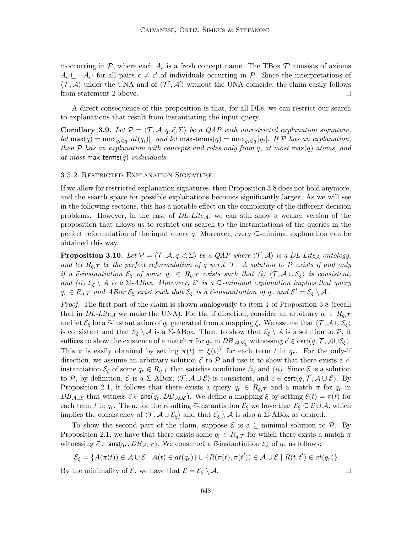c occurring in  $P$ , where each  $A_c$  is a fresh concept name. The TBox  $\mathcal{T}'$  consists of axioms  $A_c \sqsubseteq \neg A_{c'}$  for all pairs  $c \neq c'$  of individuals occurring in P. Since the interpretations of  $\langle \mathcal{T}, \mathcal{A} \rangle$  under the UNA and of  $\langle \mathcal{T}', \mathcal{A}' \rangle$  without the UNA coincide, the claim easily follows from statement 2 above. П

A direct consequence of this proposition is that, for all DLs, we can restrict our search to explanations that result from instantiating the input query.

Corollary 3.9. Let  $\mathcal{P} = \langle \mathcal{T}, \mathcal{A}, q, \vec{c}, \Sigma \rangle$  be a QAP with unrestricted explanation signature,  $let \max(q) = \max_{q_i \in q} |at(q_i)|$ , and let  $\max\text{-terms}(q) = \max_{q_i \in q} |q_i|$ . If  ${\mathcal{P}}$  has an explanation, then P has an explanation with concepts and roles only from q, at most  $\max(q)$  atoms, and at most max-terms $(q)$  individuals.

## 3.3.2 Restricted Explanation Signature

If we allow for restricted explanation signatures, then Proposition 3.8 does not hold anymore, and the search space for possible explanations becomes significantly larger. As we will see in the following sections, this has a notable effect on the complexity of the different decision problems. However, in the case of  $DL\text{-}Lite_A$ , we can still show a weaker version of the proposition that allows us to restrict our search to the instantiations of the queries in the perfect reformulation of the input query q. Moreover, every  $\subseteq$ -minimal explanation can be obtained this way.

**Proposition 3.10.** Let  $\mathcal{P} = \langle \mathcal{T}, \mathcal{A}, q, \vec{c}, \Sigma \rangle$  be a QAP where  $\langle \mathcal{T}, \mathcal{A} \rangle$  is a DL-Lite<sub>A</sub> ontology, and let  $R_{q,\mathcal{T}}$  be the perfect reformulation of q w.r.t. T. A solution to P exists if and only if a  $\vec{c}$ -instantiation  $\mathcal{E}_{\xi}$  of some  $q_r \in R_{q,\mathcal{T}}$  exists such that (i)  $\langle \mathcal{T}, \mathcal{A} \cup \mathcal{E}_{\xi} \rangle$  is consistent, and (ii)  $\mathcal{E}_{\xi} \setminus \mathcal{A}$  is a  $\Sigma$ -ABox. Moreover,  $\mathcal{E}'$  is a  $\subseteq$ -minimal explanation implies that query  $q_r \in R_{q,\mathcal{T}}$  and ABox  $\mathcal{E}_{\xi}$  exist such that  $\mathcal{E}_{\xi}$  is a  $\vec{c}$ -instantiation of  $q_r$  and  $\mathcal{E}' = \mathcal{E}_{\xi} \setminus \mathcal{A}$ .

Proof. The first part of the claim is shown analogously to item 1 of Proposition 3.8 (recall that in DL-Lite<sub>A</sub> we make the UNA). For the if direction, consider an arbitrary  $q_r \in R_{q,\mathcal{T}}$ and let  $\mathcal{E}_{\xi}$  be a  $\vec{c}$ -instantiation of  $q_r$  generated from a mapping  $\xi$ . We assume that  $\langle \mathcal{T}, \mathcal{A} \cup \mathcal{E}_{\xi} \rangle$ is consistent and that  $\mathcal{E}_{\xi} \setminus \mathcal{A}$  is a  $\Sigma$ -ABox. Then, to show that  $\mathcal{E}_{\xi} \setminus \mathcal{A}$  is a solution to  $\mathcal{P}$ , it suffices to show the existence of a match  $\pi$  for  $q_r$  in  $DB_{\mathcal{A}\cup\mathcal{E}_\xi}$  witnessing  $\vec{c} \in \text{cert}(q, \mathcal{T}, \mathcal{A}\cup\mathcal{E}_\xi)$ . This  $\pi$  is easily obtained by setting  $\pi(t) = \xi(t)^{\mathcal{I}}$  for each term t in  $q_r$ . For the only-if direction, we assume an arbitrary solution  $\mathcal E$  to  $\mathcal P$  and use it to show that there exists a  $\vec c$ instantiation  $\mathcal{E}_{\xi}$  of some  $q_r \in R_{q,\mathcal{T}}$  that satisfies conditions (i) and (ii). Since  $\mathcal{E}$  is a solution to P, by definition,  $\mathcal{E}$  is a  $\Sigma$ -ABox,  $\langle \mathcal{T}, \mathcal{A} \cup \mathcal{E} \rangle$  is consistent, and  $\vec{c} \in \text{cert}(q, \mathcal{T}, \mathcal{A} \cup \mathcal{E})$ . By Proposition 2.1, it follows that there exists a query  $q_r \in R_{q,\mathcal{T}}$  and a match  $\pi$  for  $q_r$  in  $DB_{\mathcal{A}\cup\mathcal{E}}$  that witness  $\vec{c} \in \text{ans}(q_r, DB_{\mathcal{A}\cup\mathcal{E}})$ . We define a mapping  $\xi$  by setting  $\xi(t) = \pi(t)$  for each term t in  $q_r$ . Then, for the resulting  $\vec{c}$ -instantiation  $\mathcal{E}_{\xi}$  we have that  $\mathcal{E}_{\xi} \subseteq \mathcal{E} \cup \mathcal{A}$ , which implies the consistency of  $\langle \mathcal{T}, \mathcal{A} \cup \mathcal{E}_{\xi} \rangle$  and that  $\mathcal{E}_{\xi} \setminus \mathcal{A}$  is also a Σ-ABox as desired.

To show the second part of the claim, suppose  $\mathcal E$  is a  $\subseteq$ -minimal solution to  $\mathcal P$ . By Proposition 2.1, we have that there exists some  $q_r \in R_{q,\mathcal{T}}$  for which there exists a match  $\pi$ witnessing  $\vec{c} \in \text{ans}(q_r, DB_{\mathcal{A} \cup \mathcal{E}})$ . We construct a  $\vec{c}$ -instantiation  $\mathcal{E}_{\xi}$  of  $q_r$  as follows:

$$
\mathcal{E}_{\xi} = \{ A(\pi(t)) \in \mathcal{A} \cup \mathcal{E} \mid A(t) \in at(q_r) \} \cup \{ R(\pi(t), \pi(t')) \in \mathcal{A} \cup \mathcal{E} \mid R(t, t') \in at(q_r) \}
$$

By the minimality of  $\mathcal{E}$ , we have that  $\mathcal{E} = \mathcal{E}_{\xi} \setminus \mathcal{A}$ .

 $\Box$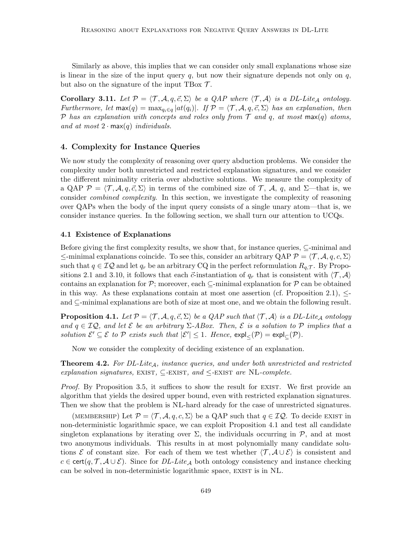Similarly as above, this implies that we can consider only small explanations whose size is linear in the size of the input query  $q$ , but now their signature depends not only on  $q$ , but also on the signature of the input TBox  $\mathcal{T}$ .

**Corollary 3.11.** Let  $\mathcal{P} = \langle \mathcal{T}, \mathcal{A}, q, \vec{c}, \Sigma \rangle$  be a QAP where  $\langle \mathcal{T}, \mathcal{A} \rangle$  is a DL-Lite<sub>A</sub> ontology. Furthermore, let  $\max(q) = \max_{q_i \in q} |at(q_i)|$ . If  $\mathcal{P} = \langle \mathcal{T}, \mathcal{A}, q, \vec{c}, \Sigma \rangle$  has an explanation, then P has an explanation with concepts and roles only from T and q, at most  $\max(q)$  atoms, and at most  $2 \cdot max(q)$  individuals.

# 4. Complexity for Instance Queries

We now study the complexity of reasoning over query abduction problems. We consider the complexity under both unrestricted and restricted explanation signatures, and we consider the different minimality criteria over abductive solutions. We measure the complexity of a QAP  $\mathcal{P} = \langle \mathcal{T}, \mathcal{A}, q, \vec{c}, \Sigma \rangle$  in terms of the combined size of  $\mathcal{T}, \mathcal{A}, q$ , and  $\Sigma$ —that is, we consider combined complexity. In this section, we investigate the complexity of reasoning over QAPs when the body of the input query consists of a single unary atom—that is, we consider instance queries. In the following section, we shall turn our attention to UCQs.

#### 4.1 Existence of Explanations

Before giving the first complexity results, we show that, for instance queries, ⊆-minimal and  $\le$ -minimal explanations coincide. To see this, consider an arbitrary QAP  $\mathcal{P} = \langle \mathcal{T}, \mathcal{A}, q, c, \Sigma \rangle$ such that  $q \in \mathcal{IQ}$  and let  $q_r$  be an arbitrary CQ in the perfect reformulation  $R_{q,\mathcal{T}}$ . By Propositions 2.1 and 3.10, it follows that each  $\vec{c}$ -instantiation of  $q_r$  that is consistent with  $\langle \mathcal{T}, \mathcal{A} \rangle$ contains an explanation for  $\mathcal{P}$ ; moreover, each  $\subseteq$ -minimal explanation for  $\mathcal{P}$  can be obtained in this way. As these explanations contain at most one assertion (cf. Proposition 2.1),  $\leq$ and ⊆-minimal explanations are both of size at most one, and we obtain the following result.

**Proposition 4.1.** Let  $P = \langle T, A, q, \vec{c}, \Sigma \rangle$  be a QAP such that  $\langle T, A \rangle$  is a DL-Lite<sub>A</sub> ontology and  $q \in \mathcal{IQ}$ , and let  $\mathcal E$  be an arbitrary  $\Sigma$ -ABox. Then,  $\mathcal E$  is a solution to  $\mathcal P$  implies that a solution  $\mathcal{E}' \subseteq \mathcal{E}$  to  $\mathcal{P}$  exists such that  $|\mathcal{E}'| \leq 1$ . Hence,  $\exp\left(\frac{\mathcal{P}}{\mathcal{E}(\mathcal{P})}\right) = \exp\left(\frac{\mathcal{P}}{\mathcal{E}(\mathcal{P})}\right)$ .

Now we consider the complexity of deciding existence of an explanation.

**Theorem 4.2.** For  $DL\text{-}Life_A$ , instance queries, and under both unrestricted and restricted explanation signatures, EXIST,  $\subseteq$ -EXIST, and  $\leq$ -EXIST are NL-complete.

*Proof.* By Proposition 3.5, it suffices to show the result for EXIST. We first provide an algorithm that yields the desired upper bound, even with restricted explanation signatures. Then we show that the problem is NL-hard already for the case of unrestricted signatures.

(MEMBERSHIP) Let  $\mathcal{P} = \langle \mathcal{T}, \mathcal{A}, q, c, \Sigma \rangle$  be a QAP such that  $q \in \mathcal{IQ}$ . To decide EXIST in non-deterministic logarithmic space, we can exploit Proposition 4.1 and test all candidate singleton explanations by iterating over  $\Sigma$ , the individuals occurring in  $\mathcal{P}$ , and at most two anonymous individuals. This results in at most polynomially many candidate solutions  $\mathcal E$  of constant size. For each of them we test whether  $\langle \mathcal T, \mathcal A \cup \mathcal E \rangle$  is consistent and  $c \in \text{cert}(q, \mathcal{T}, \mathcal{A} \cup \mathcal{E})$ . Since for  $DL\text{-}Lite_A$  both ontology consistency and instance checking can be solved in non-deterministic logarithmic space, EXIST is in NL.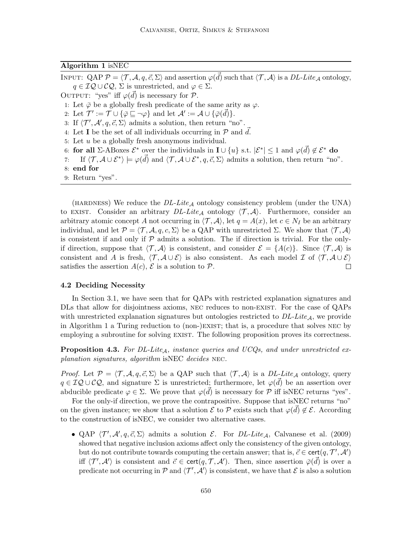Algorithm 1 isNEC

INPUT: QAP  $\mathcal{P} = \langle \mathcal{T}, \mathcal{A}, q, \vec{c}, \Sigma \rangle$  and assertion  $\varphi(\vec{d})$  such that  $\langle \mathcal{T}, \mathcal{A} \rangle$  is a  $DL\text{-}Like_{\mathcal{A}}$  ontology,  $q \in \mathcal{IQ} \cup \mathcal{CQ}$ ,  $\Sigma$  is unrestricted, and  $\varphi \in \Sigma$ . OUTPUT: "yes" iff  $\varphi(\vec{d})$  is necessary for  $\mathcal{P}$ . 1: Let  $\bar{\varphi}$  be a globally fresh predicate of the same arity as  $\varphi$ . 2: Let  $\mathcal{T}' := \mathcal{T} \cup \{\overline{\varphi} \sqsubseteq \neg \varphi\}$  and let  $\mathcal{A}' := \mathcal{A} \cup \{\overline{\varphi}(\overline{d})\}.$ 3: If  $\langle \mathcal{T}', \mathcal{A}', q, \vec{c}, \Sigma \rangle$  admits a solution, then return "no". 4: Let **I** be the set of all individuals occurring in  $P$  and  $d$ . 5: Let  $u$  be a globally fresh anonymous individual. 6: for all  $\Sigma$ -ABoxes  $\mathcal{E}^*$  over the individuals in  $\mathbf{I} \cup \{u\}$  s.t.  $|\mathcal{E}^*| \leq 1$  and  $\varphi(\vec{d}) \notin \mathcal{E}^*$  do 7: If  $\langle \mathcal{T}, \mathcal{A} \cup \mathcal{E}^* \rangle \models \varphi(\vec{d})$  and  $\langle \mathcal{T}, \mathcal{A} \cup \mathcal{E}^*, q, \vec{c}, \Sigma \rangle$  admits a solution, then return "no". 8: end for 9: Return "yes".

(HARDNESS) We reduce the  $DL\text{-}Like_{\mathcal{A}}$  ontology consistency problem (under the UNA) to EXIST. Consider an arbitrary  $DL\text{-}Lite_{\mathcal{A}}$  ontology  $\langle \mathcal{T}, \mathcal{A} \rangle$ . Furthermore, consider an arbitrary atomic concept A not occurring in  $\langle \mathcal{T}, \mathcal{A} \rangle$ , let  $q = A(x)$ , let  $c \in N_I$  be an arbitrary individual, and let  $\mathcal{P} = \langle \mathcal{T}, \mathcal{A}, q, c, \Sigma \rangle$  be a QAP with unrestricted  $\Sigma$ . We show that  $\langle \mathcal{T}, \mathcal{A} \rangle$ is consistent if and only if  $P$  admits a solution. The if direction is trivial. For the onlyif direction, suppose that  $\langle \mathcal{T}, \mathcal{A} \rangle$  is consistent, and consider  $\mathcal{E} = \{A(c)\}\$ . Since  $\langle \mathcal{T}, \mathcal{A} \rangle$  is consistent and A is fresh,  $\langle \mathcal{T}, \mathcal{A} \cup \mathcal{E} \rangle$  is also consistent. As each model I of  $\langle \mathcal{T}, \mathcal{A} \cup \mathcal{E} \rangle$ satisfies the assertion  $A(c)$ ,  $\mathcal E$  is a solution to  $\mathcal P$ .  $\Box$ 

# 4.2 Deciding Necessity

In Section 3.1, we have seen that for QAPs with restricted explanation signatures and DLs that allow for disjointness axioms, NEC reduces to non-EXIST. For the case of QAPs with unrestricted explanation signatures but ontologies restricted to  $DL\text{-}Lie_A$ , we provide in Algorithm 1 a Turing reduction to (non-)exist; that is, a procedure that solves nec by employing a subroutine for solving EXIST. The following proposition proves its correctness.

**Proposition 4.3.** For DL-Lite<sub>A</sub>, instance queries and UCQs, and under unrestricted explanation signatures, algorithm isNEC decides NEC.

*Proof.* Let  $P = \langle T, A, q, \vec{c}, \Sigma \rangle$  be a QAP such that  $\langle T, A \rangle$  is a DL-Lite<sub>A</sub> ontology, query  $q \in \mathcal{IQ} \cup \mathcal{CQ}$ , and signature  $\Sigma$  is unrestricted; furthermore, let  $\varphi(\vec{d})$  be an assertion over abducible predicate  $\varphi \in \Sigma$ . We prove that  $\varphi(\vec{d})$  is necessary for  $\mathcal P$  iff isNEC returns "yes".

For the only-if direction, we prove the contrapositive. Suppose that isNEC returns "no" on the given instance; we show that a solution  $\mathcal{E}$  to  $\mathcal{P}$  exists such that  $\varphi(\vec{d}) \notin \mathcal{E}$ . According to the construction of isNEC, we consider two alternative cases.

• QAP  $\langle T', \mathcal{A}', q, \vec{c}, \Sigma \rangle$  admits a solution  $\mathcal{E}$ . For DL-Lite<sub>A</sub>, Calvanese et al. (2009) showed that negative inclusion axioms affect only the consistency of the given ontology, but do not contribute towards computing the certain answer; that is,  $\vec{c} \in \text{cert}(q, \mathcal{T}', \mathcal{A}')$ iff  $\langle T', \mathcal{A}' \rangle$  is consistent and  $\vec{c} \in \text{cert}(q, \mathcal{T}, \mathcal{A}')$ . Then, since assertion  $\bar{\varphi}(\vec{d})$  is over a predicate not occurring in P and  $\langle T', \mathcal{A}' \rangle$  is consistent, we have that E is also a solution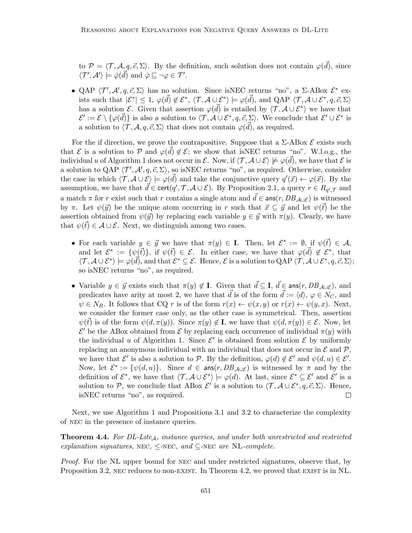to  $P = \langle T, A, q, \vec{c}, \Sigma \rangle$ . By the definition, such solution does not contain  $\varphi(\vec{d})$ , since  $\langle \mathcal{T}', \mathcal{A}' \rangle \models \bar{\varphi}(\vec{d}) \text{ and } \bar{\varphi} \sqsubseteq \neg \varphi \in \mathcal{T}'.$ 

• QAP  $\langle \mathcal{T}', \mathcal{A}', q, \vec{c}, \Sigma \rangle$  has no solution. Since isNEC returns "no", a  $\Sigma$ -ABox  $\mathcal{E}^*$  exists such that  $|\mathcal{E}^*| \leq 1$ ,  $\varphi(\vec{d}) \notin \mathcal{E}^*$ ,  $\langle \mathcal{T}, \mathcal{A} \cup \mathcal{E}^* \rangle \models \varphi(\vec{d})$ , and QAP  $\langle \mathcal{T}, \mathcal{A} \cup \mathcal{E}^*, q, \vec{c}, \Sigma \rangle$ has a solution  $\mathcal{E}$ . Given that assertion  $\varphi(\vec{d})$  is entailed by  $\langle \mathcal{T}, \mathcal{A} \cup \mathcal{E}^* \rangle$  we have that  $\mathcal{E}' := \mathcal{E} \setminus {\varphi(\vec{d})}$  is also a solution to  $\langle \mathcal{T}, \mathcal{A} \cup \mathcal{E}^*, q, \vec{c}, \Sigma \rangle$ . We conclude that  $\mathcal{E}' \cup \mathcal{E}^*$  is a solution to  $\langle \mathcal{T}, \mathcal{A}, q, \vec{c}, \Sigma \rangle$  that does not contain  $\varphi(\vec{d})$ , as required.

For the if direction, we prove the contrapositive. Suppose that a  $\Sigma$ -ABox  $\mathcal E$  exists such that  $\mathcal E$  is a solution to  $\mathcal P$  and  $\varphi(\vec{d}) \notin \mathcal E$ ; we show that isNEC returns "no". W.l.o.g., the individual u of Algorithm 1 does not occur in  $\mathcal{E}$ . Now, if  $\langle \mathcal{T}, \mathcal{A} \cup \mathcal{E} \rangle \not\models \varphi(\vec{d})$ , we have that  $\mathcal{E}$  is a solution to QAP  $\langle T', \mathcal{A}', q, \vec{c}, \Sigma \rangle$ , so isNEC returns "no", as required. Otherwise, consider the case in which  $\langle \mathcal{T}, \mathcal{A} \cup \mathcal{E} \rangle \models \varphi(\vec{d})$  and take the conjunctive query  $q'(\vec{x}) \leftarrow \varphi(\vec{x})$ . By the assumption, we have that  $\vec{d} \in \text{cert}(q', \mathcal{T}, \mathcal{A} \cup \mathcal{E})$ . By Proposition 2.1, a query  $r \in R_{q', \mathcal{T}}$  and a match  $\pi$  for r exist such that r contains a single atom and  $\vec{d} \in \text{ans}(r, DB_{A\cup\mathcal{E}})$  is witnessed by  $\pi$ . Let  $\psi(\vec{y})$  be the unique atom occurring in r such that  $\vec{x} \subseteq \vec{y}$  and let  $\psi(\vec{t})$  be the assertion obtained from  $\psi(\vec{y})$  by replacing each variable  $y \in \vec{y}$  with  $\pi(y)$ . Clearly, we have that  $\psi(\bar{t}) \in \mathcal{A} \cup \mathcal{E}$ . Next, we distinguish among two cases.

- For each variable  $y \in \vec{y}$  we have that  $\pi(y) \in I$ . Then, let  $\mathcal{E}^* := \emptyset$ , if  $\psi(\vec{t}) \in \mathcal{A}$ , and let  $\mathcal{E}^* := \{\psi(\vec{t})\},\$ if  $\psi(\vec{t}) \in \mathcal{E}$ . In either case, we have that  $\varphi(\vec{d}) \notin \mathcal{E}^*$ , that  $\langle \mathcal{T}, \mathcal{A} \cup \mathcal{E}^* \rangle \models \varphi(\vec{d})$ , and that  $\mathcal{E}^* \subseteq \mathcal{E}$ . Hence,  $\mathcal{E}$  is a solution to QAP  $\langle \mathcal{T}, \mathcal{A} \cup \mathcal{E}^*, q, \vec{c}, \Sigma \rangle$ ; so isNEC returns "no", as required.
- Variable  $y \in \vec{y}$  exists such that  $\pi(y) \notin I$ . Given that  $\vec{d} \subseteq I$ ,  $\vec{d} \in \text{ans}(r, DB_{\mathcal{A} \cup \mathcal{E}})$ , and predicates have arity at most 2, we have that  $\vec{d}$  is of the form  $\vec{d} := \langle d \rangle, \varphi \in N_C$ , and  $\psi \in N_R$ . It follows that CQ r is of the form  $r(x) \leftarrow \psi(x, y)$  or  $r(x) \leftarrow \psi(y, x)$ . Next, we consider the former case only, as the other case is symmetrical. Then, assertion  $\psi(\vec{t})$  is of the form  $\psi(d, \pi(y))$ . Since  $\pi(y) \notin \mathbf{I}$ , we have that  $\psi(d, \pi(y)) \in \mathcal{E}$ . Now, let  $\mathcal{E}'$  be the ABox obtained from  $\mathcal E$  by replacing each occurrence of individual  $\pi(y)$  with the individual u of Algorithm 1. Since  $\mathcal{E}'$  is obtained from solution  $\mathcal{E}$  by uniformly replacing an anonymous individual with an individual that does not occur in  $\mathcal E$  and  $\mathcal P$ , we have that  $\mathcal{E}'$  is also a solution to P. By the definition,  $\varphi(d) \notin \mathcal{E}'$  and  $\psi(d, u) \in \mathcal{E}'$ . Now, let  $\mathcal{E}^* := \{\psi(d, u)\}.$  Since  $d \in \text{ans}(r, DB_{\mathcal{A} \cup \mathcal{E}})$  is witnessed by  $\pi$  and by the definition of  $\mathcal{E}^*$ , we have that  $\langle \mathcal{T}, \mathcal{A} \cup \mathcal{E}^* \rangle \models \varphi(d)$ . At last, since  $\mathcal{E}^* \subseteq \mathcal{E}'$  and  $\mathcal{E}'$  is a solution to P, we conclude that ABox  $\mathcal{E}'$  is a solution to  $\langle \mathcal{T}, \mathcal{A} \cup \mathcal{E}^*, q, \vec{c}, \Sigma \rangle$ . Hence, isNEC returns "no", as required.  $\Box$

Next, we use Algorithm 1 and Propositions 3.1 and 3.2 to characterize the complexity of nec in the presence of instance queries.

**Theorem 4.4.** For  $DL\text{-}Life_A$ , instance queries, and under both unrestricted and restricted explanation signatures, NEC,  $\leq$ -NEC, and  $\subseteq$ -NEC are NL-complete.

Proof. For the NL upper bound for NEC and under restricted signatures, observe that, by Proposition 3.2, NEC reduces to non-EXIST. In Theorem 4.2, we proved that EXIST is in NL.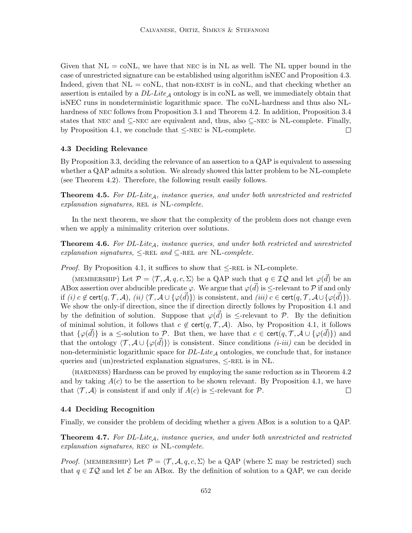Given that  $NL = \text{co}NL$ , we have that NEC is in NL as well. The NL upper bound in the case of unrestricted signature can be established using algorithm isNEC and Proposition 4.3. Indeed, given that  $NL = \text{co}NL$ , that non-EXIST is in coNL, and that checking whether an assertion is entailed by a  $DL\text{-}Lite_A$  ontology is in coNL as well, we immediately obtain that isNEC runs in nondeterministic logarithmic space. The coNL-hardness and thus also NLhardness of nec follows from Proposition 3.1 and Theorem 4.2. In addition, Proposition 3.4 states that NEC and  $\subseteq$ -NEC are equivalent and, thus, also  $\subseteq$ -NEC is NL-complete. Finally, by Proposition 4.1, we conclude that  $\leq$ -NEC is NL-complete.  $\Box$ 

# 4.3 Deciding Relevance

By Proposition 3.3, deciding the relevance of an assertion to a QAP is equivalent to assessing whether a QAP admits a solution. We already showed this latter problem to be NL-complete (see Theorem 4.2). Therefore, the following result easily follows.

**Theorem 4.5.** For  $DL\text{-}Lite_A$ , instance queries, and under both unrestricted and restricted  $explanation$  signatures, REL is NL-complete.

In the next theorem, we show that the complexity of the problem does not change even when we apply a minimality criterion over solutions.

**Theorem 4.6.** For DL-Lite<sub>A</sub>, instance queries, and under both restricted and unrestricted explanation signatures,  $\leq$ -REL and  $\subseteq$ -REL are NL-complete.

*Proof.* By Proposition 4.1, it suffices to show that  $\leq$ -REL is NL-complete.

(MEMBERSHIP) Let  $\mathcal{P} = \langle \mathcal{T}, \mathcal{A}, q, c, \Sigma \rangle$  be a QAP such that  $q \in \mathcal{IQ}$  and let  $\varphi(\vec{d})$  be an ABox assertion over abducible predicate  $\varphi$ . We argue that  $\varphi(\vec{d})$  is  $\leq$ -relevant to  $\mathcal P$  if and only if (i)  $c \notin \text{cert}(q, \mathcal{T}, \mathcal{A}), (ii) \langle \mathcal{T}, \mathcal{A} \cup {\varphi(\vec{d})} \rangle$  is consistent, and (iii)  $c \in \text{cert}(q, \mathcal{T}, \mathcal{A} \cup {\varphi(\vec{d})})$ . We show the only-if direction, since the if direction directly follows by Proposition 4.1 and by the definition of solution. Suppose that  $\varphi(\vec{d})$  is  $\leq$ -relevant to P. By the definition of minimal solution, it follows that  $c \notin \text{cert}(q, \mathcal{T}, \mathcal{A})$ . Also, by Proposition 4.1, it follows that  $\{\varphi(\vec{d})\}$  is a  $\leq$ -solution to P. But then, we have that  $c \in \text{cert}(q, \mathcal{T}, \mathcal{A} \cup \{\varphi(\vec{d})\})$  and that the ontology  $\langle \mathcal{T}, \mathcal{A} \cup {\varphi(\vec{d})}\rangle$  is consistent. Since conditions  $(i-iii)$  can be decided in non-deterministic logarithmic space for  $DL\text{-}Lite_{\mathcal{A}}$  ontologies, we conclude that, for instance queries and (un)restricted explanation signatures,  $\leq$ -REL is in NL.

(hardness) Hardness can be proved by employing the same reduction as in Theorem 4.2 and by taking  $A(c)$  to be the assertion to be shown relevant. By Proposition 4.1, we have that  $\langle \mathcal{T}, \mathcal{A} \rangle$  is consistent if and only if  $A(c)$  is  $\leq$ -relevant for  $\mathcal{P}$ .  $\Box$ 

# 4.4 Deciding Recognition

Finally, we consider the problem of deciding whether a given ABox is a solution to a QAP.

**Theorem 4.7.** For  $DL\text{-}Life_A$ , instance queries, and under both unrestricted and restricted explanation signatures, REC is NL-complete.

*Proof.* (MEMBERSHIP) Let  $\mathcal{P} = \langle \mathcal{T}, \mathcal{A}, q, c, \Sigma \rangle$  be a QAP (where  $\Sigma$  may be restricted) such that  $q \in \mathcal{I}Q$  and let  $\mathcal{E}$  be an ABox. By the definition of solution to a QAP, we can decide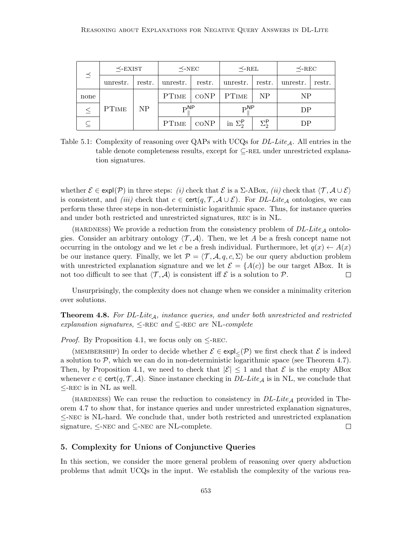| $\preceq$ | $\preceq$ -EXIST |        | $\prec$ -NEC               |                 | $\prec$ -REL    |                         | $\prec$ -REC   |        |
|-----------|------------------|--------|----------------------------|-----------------|-----------------|-------------------------|----------------|--------|
|           | unrestr.         | restr. | unrestr.                   | restr.          | unrestr.        | restr.                  | unrestr.       | restr. |
| none      |                  |        |                            | $\mathrm{coNP}$ | <b>PTIME</b>    | N <sub>P</sub>          | N <sub>P</sub> |        |
|           | PTIME            | NP     | $\mathbf{p}^{\mathsf{NP}}$ |                 | $\mathbf{p}$ NP |                         | DP             |        |
|           |                  |        | <b>PTIME</b>               | $\mathrm{coNP}$ | in $\Sigma_2^P$ | $\Sigma_2^{\mathsf{P}}$ | DP             |        |

Table 5.1: Complexity of reasoning over QAPs with UCQs for  $DL\text{-}Lie_A$ . All entries in the table denote completeness results, except for  $\subseteq$ -REL under unrestricted explanation signatures.

whether  $\mathcal{E} \in \text{expl}(\mathcal{P})$  in three steps: (i) check that  $\mathcal{E}$  is a  $\Sigma$ -ABox, (ii) check that  $\langle \mathcal{T}, \mathcal{A} \cup \mathcal{E} \rangle$ is consistent, and *(iii)* check that  $c \in \text{cert}(q, \mathcal{T}, \mathcal{A} \cup \mathcal{E})$ . For *DL-Lite*<sub>A</sub> ontologies, we can perform these three steps in non-deterministic logarithmic space. Thus, for instance queries and under both restricted and unrestricted signatures, REC is in NL.

(HARDNESS) We provide a reduction from the consistency problem of  $DL\text{-}Like_{\mathcal{A}}$  ontologies. Consider an arbitrary ontology  $\langle \mathcal{T}, \mathcal{A} \rangle$ . Then, we let A be a fresh concept name not occurring in the ontology and we let c be a fresh individual. Furthermore, let  $q(x) \leftarrow A(x)$ be our instance query. Finally, we let  $\mathcal{P} = \langle \mathcal{T}, \mathcal{A}, q, c, \Sigma \rangle$  be our query abduction problem with unrestricted explanation signature and we let  $\mathcal{E} = \{A(c)\}\$ be our target ABox. It is not too difficult to see that  $\langle \mathcal{T}, \mathcal{A} \rangle$  is consistent iff  $\mathcal{E}$  is a solution to  $\mathcal{P}$ .  $\Box$ 

Unsurprisingly, the complexity does not change when we consider a minimality criterion over solutions.

**Theorem 4.8.** For DL-Lite<sub>A</sub>, instance queries, and under both unrestricted and restricted explanation signatures,  $\leq$ -REC and  $\subseteq$ -REC are NL-complete

*Proof.* By Proposition 4.1, we focus only on  $\leq$ -REC.

(MEMBERSHIP) In order to decide whether  $\mathcal{E} \in \exp{\mathcal{L}(\mathcal{P})}$  we first check that  $\mathcal{E}$  is indeed a solution to  $P$ , which we can do in non-deterministic logarithmic space (see Theorem 4.7). Then, by Proposition 4.1, we need to check that  $|\mathcal{E}| \leq 1$  and that  $\mathcal E$  is the empty ABox whenever  $c \in \text{cert}(q, \mathcal{T}, \mathcal{A})$ . Since instance checking in  $DL\text{-}Lie_{\mathcal{A}}$  is in NL, we conclude that  $\leq$ -REC is in NL as well.

(HARDNESS) We can reuse the reduction to consistency in  $DL\text{-}Lie_A$  provided in Theorem 4.7 to show that, for instance queries and under unrestricted explanation signatures, ≤-nec is NL-hard. We conclude that, under both restricted and unrestricted explanation signature, ≤-nec and ⊆-nec are NL-complete.  $\Box$ 

# 5. Complexity for Unions of Conjunctive Queries

In this section, we consider the more general problem of reasoning over query abduction problems that admit UCQs in the input. We establish the complexity of the various rea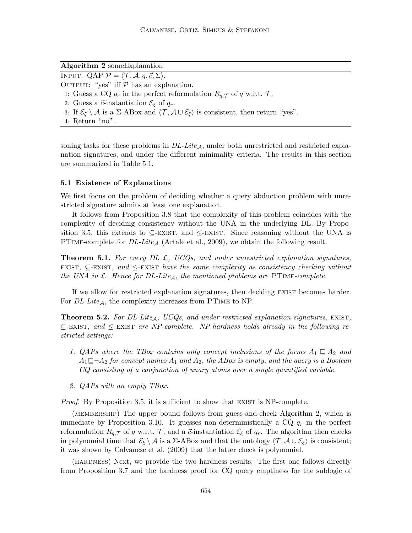Algorithm 2 someExplanation INPUT: QAP  $P = \langle T, \mathcal{A}, q, \vec{c}, \Sigma \rangle$ . OUTPUT: "yes" iff  $P$  has an explanation. 1: Guess a CQ  $q_r$  in the perfect reformulation  $R_{q,\mathcal{T}}$  of q w.r.t.  $\mathcal{T}$ . 2: Guess a  $\vec{c}$ -instantiation  $\mathcal{E}_{\xi}$  of  $q_r$ . 3: If  $\mathcal{E}_{\xi} \setminus \mathcal{A}$  is a  $\Sigma$ -ABox and  $\langle \mathcal{T}, \mathcal{A} \cup \mathcal{E}_{\xi} \rangle$  is consistent, then return "yes". 4: Return "no".

soning tasks for these problems in  $DL\text{-}Lie_A$ , under both unrestricted and restricted explanation signatures, and under the different minimality criteria. The results in this section are summarized in Table 5.1.

## 5.1 Existence of Explanations

We first focus on the problem of deciding whether a query abduction problem with unrestricted signature admits at least one explanation.

It follows from Proposition 3.8 that the complexity of this problem coincides with the complexity of deciding consistency without the UNA in the underlying DL. By Proposition 3.5, this extends to  $\subseteq$ -EXIST, and  $\leq$ -EXIST. Since reasoning without the UNA is PTIME-complete for  $DL\text{-}Lite_A$  (Artale et al., 2009), we obtain the following result.

**Theorem 5.1.** For every DL  $\mathcal{L}$ , UCQs, and under unrestricted explanation signatures, EXIST,  $\subseteq$ -EXIST, and  $\le$ -EXIST have the same complexity as consistency checking without the UNA in  $\mathcal{L}$ . Hence for DL-Lite<sub>A</sub>, the mentioned problems are PTIME-complete.

If we allow for restricted explanation signatures, then deciding EXIST becomes harder. For  $DL\text{-}Lie_A$ , the complexity increases from PTIME to NP.

**Theorem 5.2.** For DL-Lite<sub>A</sub>, UCQs, and under restricted explanation signatures, EXIST,  $\subseteq$ -EXIST, and  $\leq$ -EXIST are NP-complete. NP-hardness holds already in the following restricted settings:

- 1. QAPs where the TBox contains only concept inclusions of the forms  $A_1 \subseteq A_2$  and  $A_1\Box\neg A_2$  for concept names  $A_1$  and  $A_2$ , the ABox is empty, and the query is a Boolean CQ consisting of a conjunction of unary atoms over a single quantified variable.
- 2. QAPs with an empty TBox.

*Proof.* By Proposition 3.5, it is sufficient to show that EXIST is NP-complete.

(membership) The upper bound follows from guess-and-check Algorithm 2, which is immediate by Proposition 3.10. It guesses non-deterministically a  $CQ$   $q_r$  in the perfect reformulation  $R_{q,\mathcal{T}}$  of q w.r.t.  $\mathcal{T}$ , and a  $\vec{c}$ -instantiation  $\mathcal{E}_{\xi}$  of  $q_r$ . The algorithm then checks in polynomial time that  $\mathcal{E}_{\xi} \setminus \mathcal{A}$  is a  $\Sigma$ -ABox and that the ontology  $\langle \mathcal{T}, \mathcal{A} \cup \mathcal{E}_{\xi} \rangle$  is consistent; it was shown by Calvanese et al. (2009) that the latter check is polynomial.

(hardness) Next, we provide the two hardness results. The first one follows directly from Proposition 3.7 and the hardness proof for CQ query emptiness for the sublogic of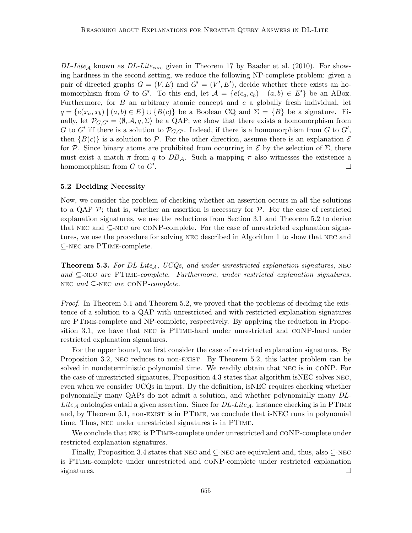$DL\text{-}Life_{\mathcal{A}}$  known as  $DL\text{-}Life_{core}$  given in Theorem 17 by Baader et al. (2010). For showing hardness in the second setting, we reduce the following NP-complete problem: given a pair of directed graphs  $G = (V, E)$  and  $G' = (V', E')$ , decide whether there exists an homomorphism from G to G'. To this end, let  $A = \{e(c_a, c_b) \mid (a, b) \in E'\}$  be an ABox. Furthermore, for  $B$  an arbitrary atomic concept and  $c$  a globally fresh individual, let  $q = \{e(x_a, x_b) \mid (a, b) \in E\} \cup \{B(c)\}\$ be a Boolean CQ and  $\Sigma = \{B\}\$ be a signature. Finally, let  $\mathcal{P}_{G,G'} = \langle \emptyset, \mathcal{A}, q, \Sigma \rangle$  be a QAP; we show that there exists a homomorphism from G to G' iff there is a solution to  $\mathcal{P}_{G,G'}$ . Indeed, if there is a homomorphism from G to G', then  ${B(c)}$  is a solution to P. For the other direction, assume there is an explanation  $\mathcal E$ for P. Since binary atoms are prohibited from occurring in  $\mathcal E$  by the selection of  $\Sigma$ , there must exist a match  $\pi$  from q to  $DB_A$ . Such a mapping  $\pi$  also witnesses the existence a homomorphism from  $G$  to  $G'$ .  $\Box$ 

### 5.2 Deciding Necessity

Now, we consider the problem of checking whether an assertion occurs in all the solutions to a QAP  $\mathcal{P}$ ; that is, whether an assertion is necessary for  $\mathcal{P}$ . For the case of restricted explanation signatures, we use the reductions from Section 3.1 and Theorem 5.2 to derive that nec and ⊆-nec are coNP-complete. For the case of unrestricted explanation signatures, we use the procedure for solving nec described in Algorithm 1 to show that nec and ⊆-nec are PTime-complete.

**Theorem 5.3.** For DL-Lite<sub>A</sub>, UCQs, and under unrestricted explanation signatures, NEC and  $\subseteq$ -NEC are PTIME-complete. Furthermore, under restricted explanation signatures, NEC and  $\subseteq$ -NEC are CONP-complete.

Proof. In Theorem 5.1 and Theorem 5.2, we proved that the problems of deciding the existence of a solution to a QAP with unrestricted and with restricted explanation signatures are PTime-complete and NP-complete, respectively. By applying the reduction in Proposition 3.1, we have that nec is PTime-hard under unrestricted and coNP-hard under restricted explanation signatures.

For the upper bound, we first consider the case of restricted explanation signatures. By Proposition 3.2, NEC reduces to non-EXIST. By Theorem 5.2, this latter problem can be solved in nondeterministic polynomial time. We readily obtain that nec is in coNP. For the case of unrestricted signatures, Proposition 4.3 states that algorithm isNEC solves nec, even when we consider UCQs in input. By the definition, isNEC requires checking whether polynomially many QAPs do not admit a solution, and whether polynomially many DL-Lite<sub>A</sub> ontologies entail a given assertion. Since for  $DL\text{-}Lie_A$ , instance checking is in PTIME and, by Theorem 5.1, non-EXIST is in PTIME, we conclude that isNEC runs in polynomial time. Thus, nec under unrestricted signatures is in PTime.

We conclude that NEC is PTIME-complete under unrestricted and CONP-complete under restricted explanation signatures.

Finally, Proposition 3.4 states that nec and ⊆-nec are equivalent and, thus, also ⊆-nec is PTime-complete under unrestricted and coNP-complete under restricted explanation signatures.  $\Box$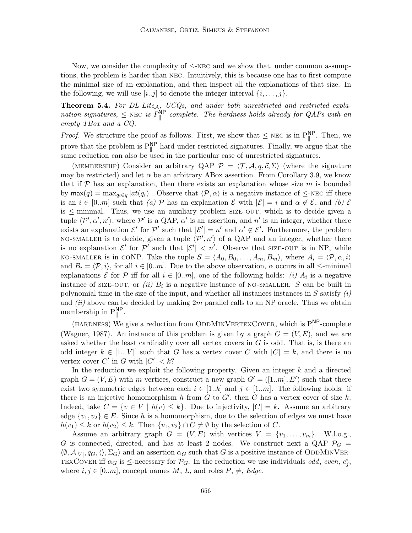Now, we consider the complexity of  $\leq$ -NEC and we show that, under common assumptions, the problem is harder than nec. Intuitively, this is because one has to first compute the minimal size of an explanation, and then inspect all the explanations of that size. In the following, we will use  $[i..j]$  to denote the integer interval  $\{i, \ldots, j\}$ .

**Theorem 5.4.** For DL-Lite<sub>A,</sub>  $UCQs$ , and under both unrestricted and restricted explanation signatures,  $\leq$ -NEC is  $P_{\parallel}^{\text{NP}}$ -complete. The hardness holds already for QAPs with an empty TBox and a CQ.

*Proof.* We structure the proof as follows. First, we show that  $\leq$ -NEC is in  $P_{\parallel}^{\text{NP}}$ . Then, we prove that the problem is  $P_{\parallel}^{\text{NP}}$ -hard under restricted signatures. Finally, we argue that the same reduction can also be used in the particular case of unrestricted signatures.

(MEMBERSHIP) Consider an arbitrary QAP  $\mathcal{P} = \langle \mathcal{T}, \mathcal{A}, q, \vec{c}, \Sigma \rangle$  (where the signature may be restricted) and let  $\alpha$  be an arbitrary ABox assertion. From Corollary 3.9, we know that if  $\mathcal P$  has an explanation, then there exists an explanation whose size m is bounded by  $\max(q) = \max_{q_i \in q} |at(q_i)|$ . Observe that  $\langle \mathcal{P}, \alpha \rangle$  is a negative instance of  $\leq$ -NEC iff there is an  $i \in [0..m]$  such that  $(a)$  P has an explanation E with  $|\mathcal{E}| = i$  and  $\alpha \notin \mathcal{E}$ , and  $(b)$  E is  $\le$ -minimal. Thus, we use an auxiliary problem size-out, which is to decide given a tuple  $\langle \mathcal{P}', \alpha', n' \rangle$ , where  $\mathcal{P}'$  is a QAP,  $\alpha'$  is an assertion, and  $n'$  is an integer, whether there exists an explanation  $\mathcal{E}'$  for  $\mathcal{P}'$  such that  $|\mathcal{E}'| = n'$  and  $\alpha' \notin \mathcal{E}'$ . Furthermore, the problem NO-SMALLER is to decide, given a tuple  $\langle \mathcal{P}', n' \rangle$  of a QAP and an integer, whether there is no explanation  $\mathcal{E}'$  for  $\mathcal{P}'$  such that  $|\mathcal{E}'| < n'$ . Observe that SIZE-OUT is in NP, while NO-SMALLER is in CONP. Take the tuple  $S = \langle A_0, B_0, \ldots, A_m, B_m \rangle$ , where  $A_i = \langle \mathcal{P}, \alpha, i \rangle$ and  $B_i = \langle \mathcal{P}, i \rangle$ , for all  $i \in [0..m]$ . Due to the above observation,  $\alpha$  occurs in all  $\le$ -minimal explanations  $\mathcal E$  for  $\mathcal P$  iff for all  $i \in [0..m]$ , one of the following holds: *(i)*  $A_i$  is a negative instance of SIZE-OUT, or (ii)  $B_i$  is a negative instance of NO-SMALLER. S can be built in polynomial time in the size of the input, and whether all instances instances in  $S$  satisfy  $(i)$ and  $(ii)$  above can be decided by making  $2m$  parallel calls to an NP oracle. Thus we obtain membership in  $P_{\parallel}^{\text{NP}}$ .

(HARDNESS) We give a reduction from ODDMINVERTEXCOVER, which is  $P_{\parallel}^{NP}$ -complete (Wagner, 1987). An instance of this problem is given by a graph  $G = (V, E)$ , and we are asked whether the least cardinality over all vertex covers in  $G$  is odd. That is, is there an odd integer  $k \in [1..|V|]$  such that G has a vertex cover C with  $|C| = k$ , and there is no vertex cover C' in G with  $|C'| < k$ ?

In the reduction we exploit the following property. Given an integer  $k$  and a directed graph  $G = (V, E)$  with m vertices, construct a new graph  $G' = ([1..m], E')$  such that there exist two symmetric edges between each  $i \in [1..k]$  and  $j \in [1..m]$ . The following holds: if there is an injective homomorphism h from  $G$  to  $G'$ , then  $G$  has a vertex cover of size k. Indeed, take  $C = \{v \in V \mid h(v) \leq k\}$ . Due to injectivity,  $|C| = k$ . Assume an arbitrary edge  $\{v_1, v_2\} \in E$ . Since h is a homomorphism, due to the selection of edges we must have  $h(v_1) \leq k$  or  $h(v_2) \leq k$ . Then  $\{v_1, v_2\} \cap C \neq \emptyset$  by the selection of C.

Assume an arbitrary graph  $G = (V, E)$  with vertices  $V = \{v_1, \ldots, v_m\}$ . W.l.o.g., G is connected, directed, and has at least 2 nodes. We construct next a QAP  $\mathcal{P}_G$  =  $\langle \emptyset, \mathcal{A}_{|V|}, q_G, \langle \rangle, \Sigma_G \rangle$  and an assertion  $\alpha_G$  such that G is a positive instance of ODDMINVER-TEXCOVER iff  $\alpha_G$  is  $\leq$ -necessary for  $\mathcal{P}_G$ . In the reduction we use individuals *odd*, even,  $c_j^i$ , where  $i, j \in [0..m]$ , concept names M, L, and roles  $P, \neq$ , Edge.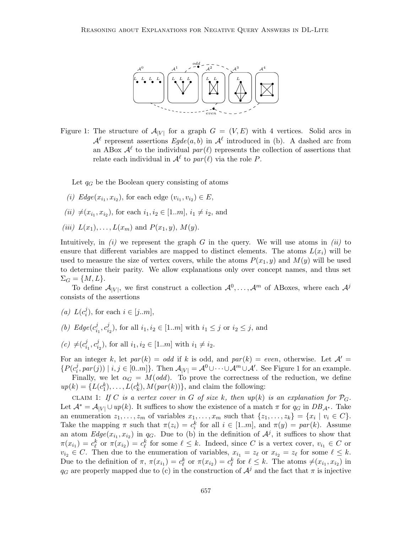

Figure 1: The structure of  $\mathcal{A}_{|V|}$  for a graph  $G = (V, E)$  with 4 vertices. Solid arcs in  $\mathcal{A}^{\ell}$  represent assertions  $E g d e(a, b)$  in  $\mathcal{A}^{\ell}$  introduced in (b). A dashed arc from an ABox  $\mathcal{A}^{\ell}$  to the individual  $par(\ell)$  represents the collection of assertions that relate each individual in  $\mathcal{A}^{\ell}$  to  $par(\ell)$  via the role P.

Let  $q_G$  be the Boolean query consisting of atoms

- (*i*)  $Edge(x_{i_1}, x_{i_2})$ , for each edge  $(v_{i_1}, v_{i_2}) \in E$ ,
- $(ii) \neq (x_{i_1}, x_{i_2})$ , for each  $i_1, i_2 \in [1..m], i_1 \neq i_2$ , and
- (iii)  $L(x_1), \ldots, L(x_m)$  and  $P(x_1, y), M(y)$ .

Intuitively, in  $(i)$  we represent the graph G in the query. We will use atoms in  $(ii)$  to ensure that different variables are mapped to distinct elements. The atoms  $L(x_i)$  will be used to measure the size of vertex covers, while the atoms  $P(x_1, y)$  and  $M(y)$  will be used to determine their parity. We allow explanations only over concept names, and thus set  $\Sigma_G = \{M, L\}.$ 

To define  $\mathcal{A}_{|V|}$ , we first construct a collection  $\mathcal{A}^0, \ldots, \mathcal{A}^m$  of ABoxes, where each  $\mathcal{A}^j$ consists of the assertions

- (a)  $L(c_i^j)$  $i_j$ , for each  $i \in [j..m],$
- (b)  $Edge(c_i^j)$  $i_1^j, c_i^j$  $i_2^j$ , for all  $i_1, i_2 \in [1..m]$  with  $i_1 \leq j$  or  $i_2 \leq j$ , and
- $(c) \neq (c_i^j)$  $i_1^j, c_i^j$  $i_2^j$ , for all  $i_1, i_2 \in [1..m]$  with  $i_1 \neq i_2$ .

For an integer k, let  $par(k) = odd$  if k is odd, and  $par(k) = even$ , otherwise. Let  $\mathcal{A}' =$  ${P(c_i^j)}$  $\mathcal{A}_i^j$ , par(j)) |  $i, j \in [0..m]$ . Then  $\mathcal{A}_{|V|} = \mathcal{A}^0 \cup \cdots \cup \mathcal{A}^m \cup \mathcal{A}'$ . See Figure 1 for an example. Finally, we let  $\alpha_G = M(odd)$ . To prove the correctness of the reduction, we define  $up(k) = \{L(c_1^k), \ldots, L(c_k^k), M(par(k))\}$ , and claim the following:

CLAIM 1: If C is a vertex cover in G of size k, then up(k) is an explanation for  $\mathcal{P}_G$ . Let  $\mathcal{A}^* = \mathcal{A}_{|V|} \cup up(k)$ . It suffices to show the existence of a match  $\pi$  for  $q_G$  in  $DB_{\mathcal{A}^*}$ . Take an enumeration  $z_1, \ldots, z_m$  of variables  $x_1, \ldots, x_m$  such that  $\{z_1, \ldots, z_k\} = \{x_i \mid v_i \in C\}.$ Take the mapping  $\pi$  such that  $\pi(z_i) = c_i^k$  for all  $i \in [1..m]$ , and  $\pi(y) = par(k)$ . Assume an atom  $Edge(x_{i_1}, x_{i_2})$  in  $q_G$ . Due to (b) in the definition of  $\mathcal{A}^j$ , it suffices to show that  $\pi(x_{i_1}) = c_{\ell}^k$  or  $\pi(x_{i_2}) = c_{\ell}^k$  for some  $\ell \leq k$ . Indeed, since C is a vertex cover,  $v_{i_1} \in C$  or  $v_{i_2} \in C$ . Then due to the enumeration of variables,  $x_{i_1} = z_\ell$  or  $x_{i_2} = z_\ell$  for some  $\ell \leq k$ . Due to the definition of  $\pi$ ,  $\pi(x_{i_1}) = c_{\ell}^k$  or  $\pi(x_{i_2}) = c_{\ell}^k$  for  $\ell \leq k$ . The atoms  $\neq (x_{i_1}, x_{i_2})$  in  $q_G$  are properly mapped due to (c) in the construction of  $\mathcal{A}^j$  and the fact that  $\pi$  is injective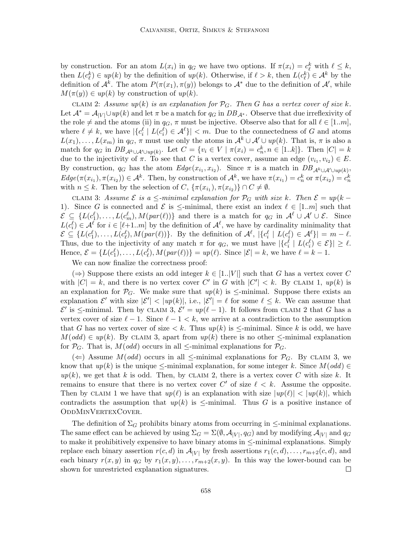by construction. For an atom  $L(x_i)$  in  $q_G$  we have two options. If  $\pi(x_i) = c_{\ell}^k$  with  $\ell \leq k$ , then  $L(c_{\ell}^k) \in up(k)$  by the definition of  $up(k)$ . Otherwise, if  $\ell > k$ , then  $L(c_{\ell}^k) \in \mathcal{A}^k$  by the definition of  $\mathcal{A}^k$ . The atom  $P(\pi(x_1), \pi(y))$  belongs to  $\mathcal{A}^*$  due to the definition of  $\mathcal{A}'$ , while  $M(\pi(y)) \in up(k)$  by construction of  $up(k)$ .

CLAIM 2: Assume  $up(k)$  is an explanation for  $\mathcal{P}_G$ . Then G has a vertex cover of size k. Let  $\mathcal{A}^* = \mathcal{A}_{|V|} \cup up(k)$  and let  $\pi$  be a match for  $q_G$  in  $DB_{\mathcal{A}^*}$ . Observe that due irreflexivity of the role  $\neq$  and the atoms (ii) in  $q_G$ ,  $\pi$  must be injective. Observe also that for all  $\ell \in [1..m],$ where  $\ell \neq k$ , we have  $|\{c_i^{\ell} \mid L(c_i^{\ell}) \in \mathcal{A}^{\ell}\}| < m$ . Due to the connectedness of G and atoms  $L(x_1), \ldots, L(x_m)$  in  $q_G, \pi$  must use only the atoms in  $\mathcal{A}^k \cup \mathcal{A}^{\prime} \cup up(k)$ . That is,  $\pi$  is also a match for  $q_G$  in  $DB_{\mathcal{A}^k \cup \mathcal{A}' \cup up(k)}$ . Let  $C = \{v_i \in V \mid \pi(x_i) = c_n^k, n \in [1..k]\}$ . Then  $|C| = k$ due to the injectivity of  $\pi$ . To see that C is a vertex cover, assume an edge  $(v_{i_1}, v_{i_2}) \in E$ . By construction,  $q_G$  has the atom  $Edge(x_i, x_{i_2})$ . Since  $\pi$  is a match in  $DB_{\mathcal{A}^k \cup \mathcal{A}' \cup up(k)}$ ,  $Edge(\pi(x_{i_1}), \pi(x_{i_2})) \in \mathcal{A}^k$ . Then, by construction of  $\mathcal{A}^k$ , we have  $\pi(x_{i_1}) = c_n^k$  or  $\pi(x_{i_2}) = c_n^k$ with  $n \leq k$ . Then by the selection of  $C, \{\pi(x_{i_1}), \pi(x_{i_2})\} \cap C \neq \emptyset$ .

CLAIM 3: Assume  $\mathcal E$  is a  $\leq$ -minimal explanation for  $\mathcal P_G$  with size k. Then  $\mathcal E = up(k -$ 1). Since G is connected and  $\mathcal E$  is  $\leq$ -minimal, there exist an index  $\ell \in [1..m]$  such that  $\mathcal{E} \subseteq \{L(c_1^{\ell}), \ldots, L(c_m^{\ell}), M(par(\ell))\}\$ and there is a match for  $q_G$  in  $\mathcal{A}^{\ell} \cup \mathcal{A}^{\prime} \cup \mathcal{E}$ . Since  $L(c_i^{\ell}) \in \mathcal{A}^{\ell}$  for  $i \in [\ell+1..m]$  by the definition of  $\mathcal{A}^{\ell}$ , we have by cardinality minimality that  $\mathcal{E} \subseteq \{L(c_1^{\ell}), \ldots, L(c_{\ell}^{\ell}), M(par(\ell))\}.$  By the definition of  $\mathcal{A}^{\ell}$ ,  $|\{c_i^{\ell} \mid L(c_i^{\ell}) \in \mathcal{A}^{\ell}\}| = m - \ell$ . Thus, due to the injectivity of any match  $\pi$  for  $q_G$ , we must have  $|\{c_i^{\ell} \mid L(c_i^{\ell}) \in \mathcal{E}\}| \geq \ell$ . Hence,  $\mathcal{E} = \{L(c_1^{\ell}), \ldots, L(c_{\ell}^{\ell}), M(par(\ell))\} = up(\ell)$ . Since  $|\mathcal{E}| = k$ , we have  $\ell = k - 1$ .

We can now finalize the correctness proof:

(⇒) Suppose there exists an odd integer  $k \in [1..|V|]$  such that G has a vertex cover C with  $|C| = k$ , and there is no vertex cover C' in G with  $|C'| < k$ . By CLAIM 1, up(k) is an explanation for  $\mathcal{P}_G$ . We make sure that  $up(k)$  is  $\le$ -minimal. Suppose there exists an explanation  $\mathcal{E}'$  with size  $|\mathcal{E}'| < |up(k)|$ , i.e.,  $|\mathcal{E}'| = \ell$  for some  $\ell \leq k$ . We can assume that  $\mathcal{E}'$  is ≤-minimal. Then by CLAIM 3,  $\mathcal{E}' = up(\ell - 1)$ . It follows from CLAIM 2 that G has a vertex cover of size  $\ell - 1$ . Since  $\ell - 1 < k$ , we arrive at a contradiction to the assumption that G has no vertex cover of size  $\lt k$ . Thus  $up(k)$  is  $\le$ -minimal. Since k is odd, we have  $M(odd) \in up(k)$ . By CLAIM 3, apart from  $up(k)$  there is no other  $\le$ -minimal explanation for  $\mathcal{P}_G$ . That is,  $M(odd)$  occurs in all  $\le$ -minimal explanations for  $\mathcal{P}_G$ .

(←) Assume  $M(odd)$  occurs in all  $\le$ -minimal explanations for  $\mathcal{P}_G$ . By CLAIM 3, we know that  $up(k)$  is the unique  $\le$ -minimal explanation, for some integer k. Since  $M(odd) \in$  $up(k)$ , we get that k is odd. Then, by CLAIM 2, there is a vertex cover C with size k. It remains to ensure that there is no vertex cover C' of size  $\ell < k$ . Assume the opposite. Then by CLAIM 1 we have that  $up(\ell)$  is an explanation with size  $|up(\ell)| < |up(k)|$ , which contradicts the assumption that  $up(k)$  is  $\le$ -minimal. Thus G is a positive instance of OddMinVertexCover.

The definition of  $\Sigma_G$  prohibits binary atoms from occurring in  $\leq$ -minimal explanations. The same effect can be achieved by using  $\Sigma_G = \Sigma(\emptyset, \mathcal{A}_{|V|}, q_G)$  and by modifying  $\mathcal{A}_{|V|}$  and  $q_G$ to make it prohibitively expensive to have binary atoms in  $\leq$ -minimal explanations. Simply replace each binary assertion  $r(c, d)$  in  $\mathcal{A}_{|V|}$  by fresh assertions  $r_1(c, d), \ldots, r_{m+2}(c, d)$ , and each binary  $r(x, y)$  in  $q_G$  by  $r_1(x, y), \ldots, r_{m+2}(x, y)$ . In this way the lower-bound can be shown for unrestricted explanation signatures.  $\Box$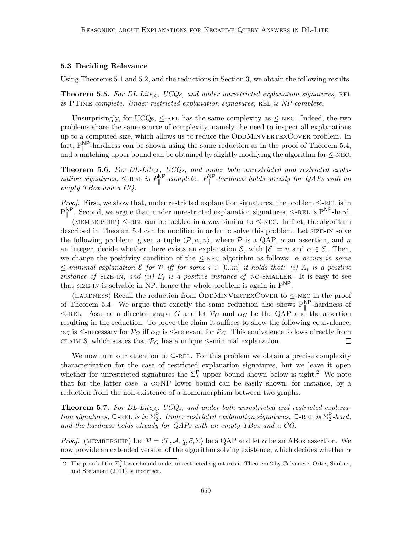#### 5.3 Deciding Relevance

Using Theorems 5.1 and 5.2, and the reductions in Section 3, we obtain the following results.

**Theorem 5.5.** For DL-Lite<sub>A</sub>, UCQs, and under unrestricted explanation signatures, REL is  $PTIME-complete.$  Under restricted explanation signatures, REL is  $NP-complete.$ 

Unsurprisingly, for UCQs,  $\leq$ -REL has the same complexity as  $\leq$ -NEC. Indeed, the two problems share the same source of complexity, namely the need to inspect all explanations up to a computed size, which allows us to reduce the ODDMINVERTEXCOVER problem. In fact,  $P_{\parallel}^{NP}$ -hardness can be shown using the same reduction as in the proof of Theorem 5.4, and a matching upper bound can be obtained by slightly modifying the algorithm for  $\leq$ -NEC.

**Theorem 5.6.** For DL-Lite<sub>A</sub>, UCQs, and under both unrestricted and restricted explanation signatures,  $\leq$ -REL is  $P_{\parallel}^{\text{NP}}$ -complete.  $P_{\parallel}^{\text{NP}}$ -hardness holds already for QAPs with an empty TBox and a CQ.

*Proof.* First, we show that, under restricted explanation signatures, the problem  $\leq$ -REL is in  $P_{\parallel}^{NP}$ . Second, we argue that, under unrestricted explanation signatures,  $\leq$ -REL is  $P_{\parallel}^{NP}$ -hard.

(MEMBERSHIP)  $\leq$ -REL can be tackled in a way similar to  $\leq$ -NEC. In fact, the algorithm described in Theorem 5.4 can be modified in order to solve this problem. Let size-in solve the following problem: given a tuple  $\langle \mathcal{P}, \alpha, n \rangle$ , where  $\mathcal P$  is a QAP,  $\alpha$  an assertion, and n an integer, decide whether there exists an explanation  $\mathcal{E}$ , with  $|\mathcal{E}| = n$  and  $\alpha \in \mathcal{E}$ . Then, we change the positivity condition of the  $\leq$ -NEC algorithm as follows:  $\alpha$  occurs in some  $\le$ -minimal explanation  $\mathcal E$  for  $\mathcal P$  iff for some  $i \in [0..m]$  it holds that: (i)  $A_i$  is a positive instance of SIZE-IN, and (ii)  $B_i$  is a positive instance of NO-SMALLER. It is easy to see that SIZE-IN is solvable in NP, hence the whole problem is again in  $P_{\parallel}^{NP}$ .

(HARDNESS) Recall the reduction from ODDMINVERTEXCOVER to  $\leq$ -NEC in the proof of Theorem 5.4. We argue that exactly the same reduction also shows  $P_{\parallel}^{NP}$ -hardness of  $\leq$ -REL. Assume a directed graph G and let  $\mathcal{P}_G$  and  $\alpha_G$  be the QAP and the assertion resulting in the reduction. To prove the claim it suffices to show the following equivalence:  $\alpha_G$  is  $\leq$ -necessary for  $\mathcal{P}_G$  iff  $\alpha_G$  is  $\leq$ -relevant for  $\mathcal{P}_G$ . This equivalence follows directly from CLAIM 3, which states that  $\mathcal{P}_G$  has a unique  $\le$ -minimal explanation.  $\Box$ 

We now turn our attention to  $\subset$ -REL. For this problem we obtain a precise complexity characterization for the case of restricted explanation signatures, but we leave it open whether for unrestricted signatures the  $\Sigma_2^{\mathsf{P}}$  upper bound shown below is tight.<sup>2</sup> We note that for the latter case, a coNP lower bound can be easily shown, for instance, by a reduction from the non-existence of a homomorphism between two graphs.

**Theorem 5.7.** For DL-Lite<sub>A</sub>, UCQs, and under both unrestricted and restricted explanation signatures,  $\subseteq$ -REL is in  $\Sigma_2^{\mathsf{P}}$ . Under restricted explanation signatures,  $\subseteq$ -REL is  $\Sigma_2^{\mathsf{P}}$ -hard, and the hardness holds already for QAPs with an empty TBox and a CQ.

*Proof.* (MEMBERSHIP) Let  $P = \langle T, A, q, \vec{c}, \Sigma \rangle$  be a QAP and let  $\alpha$  be an ABox assertion. We now provide an extended version of the algorithm solving existence, which decides whether  $\alpha$ 

<sup>2.</sup> The proof of the  $\Sigma_2^{\mathsf{P}}$  lower bound under unrestricted signatures in Theorem 2 by Calvanese, Ortiz, Simkus, and Stefanoni (2011) is incorrect.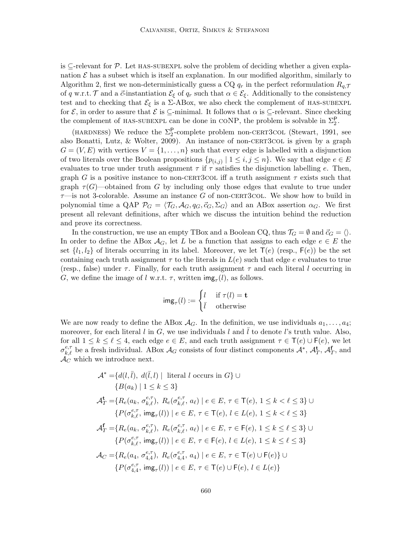is  $\subseteq$ -relevant for P. Let HAS-SUBEXPL solve the problem of deciding whether a given explanation  $\mathcal E$  has a subset which is itself an explanation. In our modified algorithm, similarly to Algorithm 2, first we non-deterministically guess a CQ  $q_r$  in the perfect reformulation  $R_{q,\mathcal{T}}$ of q w.r.t. T and a  $\vec{c}$ -instantiation  $\mathcal{E}_{\xi}$  of  $q_r$  such that  $\alpha \in \mathcal{E}_{\xi}$ . Additionally to the consistency test and to checking that  $\mathcal{E}_{\xi}$  is a  $\Sigma$ -ABox, we also check the complement of HAS-SUBEXPL for  $\mathcal{E}$ , in order to assure that  $\mathcal{E}$  is  $\subseteq$ -minimal. It follows that  $\alpha$  is  $\subseteq$ -relevant. Since checking the complement of HAS-SUBEXPL can be done in CONP, the problem is solvable in  $\Sigma_2^{\mathsf{P}}$ .

(HARDNESS) We reduce the  $\Sigma_2^{\mathsf{P}}$ -complete problem non-CERT3COL (Stewart, 1991, see also Bonatti, Lutz,  $&$  Wolter, 2009). An instance of non-CERT3 col is given by a graph  $G = (V, E)$  with vertices  $V = \{1, \ldots, n\}$  such that every edge is labelled with a disjunction of two literals over the Boolean propositions  $\{p_{(i,j)} \mid 1 \leq i,j \leq n\}$ . We say that edge  $e \in E$ evaluates to true under truth assignment  $\tau$  if  $\tau$  satisfies the disjunction labelling e. Then, graph G is a positive instance to non-CERT3COL iff a truth assignment  $\tau$  exists such that graph  $\tau(G)$ —obtained from G by including only those edges that evalute to true under  $\tau$ —is not 3-colorable. Assume an instance G of non-CERT3COL. We show how to build in polynomial time a QAP  $\mathcal{P}_G = \langle \mathcal{T}_G, \mathcal{A}_G, q_G, \vec{c}_G, \Sigma_G \rangle$  and an ABox assertion  $\alpha_G$ . We first present all relevant definitions, after which we discuss the intuition behind the reduction and prove its correctness.

In the construction, we use an empty TBox and a Boolean CQ, thus  $\mathcal{T}_G = \emptyset$  and  $\vec{c}_G = \langle \rangle$ . In order to define the ABox  $\mathcal{A}_G$ , let L be a function that assigns to each edge  $e \in E$  the set  $\{l_1, l_2\}$  of literals occurring in its label. Moreover, we let  $\mathsf{T}(e)$  (resp.,  $\mathsf{F}(e)$ ) be the set containing each truth assignment  $\tau$  to the literals in  $L(e)$  such that edge e evaluates to true (resp., false) under  $\tau$ . Finally, for each truth assignment  $\tau$  and each literal l occurring in G, we define the image of l w.r.t.  $\tau$ , written  $\text{img}_{\tau}(l)$ , as follows.

$$
img_{\tau}(l) := \begin{cases} l & \text{if } \tau(l) = \mathbf{t} \\ \bar{l} & \text{otherwise} \end{cases}
$$

We are now ready to define the ABox  $\mathcal{A}_G$ . In the definition, we use individuals  $a_1, \ldots, a_4$ ; moreover, for each literal l in G, we use individuals l and l to denote l's truth value. Also, for all  $1 \leq k \leq \ell \leq 4$ , each edge  $e \in E$ , and each truth assignment  $\tau \in \mathsf{T}(e) \cup \mathsf{F}(e)$ , we let  $\sigma_{k,\ell}^{e,\tau}$  be a fresh individual. ABox  $\mathcal{A}_G$  consists of four distinct components  $\mathcal{A}^*, \mathcal{A}_T^{\mathbf{t}}, \mathcal{A}_T^{\mathbf{f}}$ , and  $\mathcal{A}_C$  which we introduce next.

$$
\mathcal{A}^* = \{d(l, \bar{l}), d(\bar{l}, l) | \text{ literal } l \text{ occurs in } G\} \cup
$$
  
\n
$$
\{B(a_k) | 1 \le k \le 3\}
$$
  
\n
$$
\mathcal{A}_T^{\mathbf{t}} = \{R_e(a_k, \sigma_{k, \ell}^{e, \tau}), R_e(\sigma_{k, \ell}^{e, \tau}, a_{\ell}) | e \in E, \tau \in \mathsf{T}(e), 1 \le k < \ell \le 3\} \cup
$$
  
\n
$$
\{P(\sigma_{k, \ell}^{e, \tau}, \text{img}_{\tau}(l)) | e \in E, \tau \in \mathsf{T}(e), l \in L(e), 1 \le k < \ell \le 3\}
$$
  
\n
$$
\mathcal{A}_T^{\mathbf{f}} = \{R_e(a_k, \sigma_{k, \ell}^{e, \tau}), R_e(\sigma_{k, \ell}^{e, \tau}, a_{\ell}) | e \in E, \tau \in \mathsf{F}(e), 1 \le k \le \ell \le 3\} \cup
$$
  
\n
$$
\{P(\sigma_{k, \ell}^{e, \tau}, \text{img}_{\tau}(l)) | e \in E, \tau \in \mathsf{F}(e), l \in L(e), 1 \le k \le \ell \le 3\}
$$
  
\n
$$
\mathcal{A}_C = \{R_e(a_4, \sigma_{4, 4}^{e, \tau}), R_e(\sigma_{4, 4}^{e, \tau}, a_4) | e \in E, \tau \in \mathsf{T}(e) \cup \mathsf{F}(e)\} \cup
$$
  
\n
$$
\{P(\sigma_{4, 4}^{e, \tau}, \text{img}_{\tau}(l)) | e \in E, \tau \in \mathsf{T}(e) \cup \mathsf{F}(e), l \in L(e)\}
$$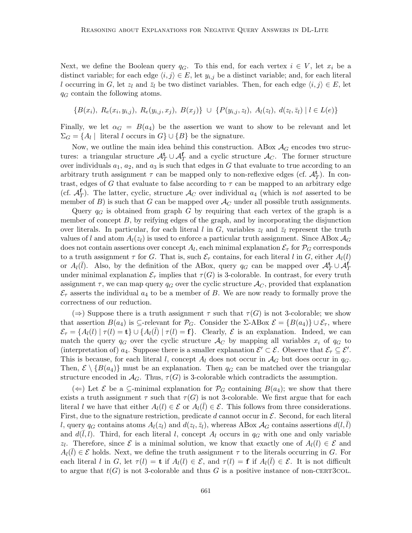Next, we define the Boolean query  $q_G$ . To this end, for each vertex  $i \in V$ , let  $x_i$  be a distinct variable; for each edge  $\langle i, j \rangle \in E$ , let  $y_{i,j}$  be a distinct variable; and, for each literal l occurring in G, let  $z_l$  and  $\bar{z}_l$  be two distinct variables. Then, for each edge  $\langle i, j \rangle \in E$ , let  $q_G$  contain the following atoms.

$$
\{B(x_i), R_e(x_i, y_{i,j}), R_e(y_{i,j}, x_j), B(x_j)\} \cup \{P(y_{i,j}, z_l), A_l(z_l), d(z_l, \bar{z}_l) | l \in L(e)\}
$$

Finally, we let  $\alpha_G = B(a_4)$  be the assertion we want to show to be relevant and let  $\Sigma_G = \{A_l \mid \text{ literal } l \text{ occurs in } G\} \cup \{B\} \text{ be the signature.}$ 

Now, we outline the main idea behind this construction. ABox  $A_G$  encodes two structures: a triangular structure  $\mathcal{A}_T^{\mathbf{t}} \cup \mathcal{A}_T^{\mathbf{f}}$  and a cyclic structure  $\mathcal{A}_C$ . The former structure over individuals  $a_1, a_2$ , and  $a_3$  is such that edges in G that evaluate to true according to an arbitrary truth assignment  $\tau$  can be mapped only to non-reflexive edges (cf.  $\mathcal{A}_T^{\mathbf{t}}$ ). In contrast, edges of G that evaluate to false according to  $\tau$  can be mapped to an arbitrary edge (cf.  $\mathcal{A}_T^{\mathbf{f}}$ ). The latter, cyclic, structure  $\mathcal{A}_C$  over individual  $a_4$  (which is not asserted to be member of B) is such that G can be mapped over  $\mathcal{A}_{C}$  under all possible truth assignments.

Query  $q_G$  is obtained from graph G by requiring that each vertex of the graph is a member of concept  $B$ , by reifying edges of the graph, and by incorporating the disjunction over literals. In particular, for each literal l in G, variables  $z_l$  and  $\bar{z}_l$  represent the truth values of l and atom  $A_l(z_l)$  is used to enforce a particular truth assignment. Since ABox  $A_G$ does not contain assertions over concept  $A_l$ , each minimal explanation  $\mathcal{E}_{\tau}$  for  $\mathcal{P}_G$  corresponds to a truth assignment  $\tau$  for G. That is, such  $\mathcal{E}_{\tau}$  contains, for each literal l in G, either  $A_l(l)$ or  $A_l(\bar{l})$ . Also, by the definition of the ABox, query  $q_G$  can be mapped over  $\mathcal{A}_T^{\mathbf{t}} \cup \mathcal{A}_T^{\mathbf{f}}$ under minimal explanation  $\mathcal{E}_{\tau}$  implies that  $\tau(G)$  is 3-colorable. In contrast, for every truth assignment  $\tau$ , we can map query  $q_G$  over the cyclic structure  $\mathcal{A}_C$ , provided that explanation  $\mathcal{E}_{\tau}$  asserts the individual  $a_4$  to be a member of B. We are now ready to formally prove the correctness of our reduction.

 $(\Rightarrow)$  Suppose there is a truth assignment  $\tau$  such that  $\tau(G)$  is not 3-colorable; we show that assertion  $B(a_4)$  is ⊆-relevant for  $\mathcal{P}_G$ . Consider the  $\Sigma$ -ABox  $\mathcal{E} = \{B(a_4)\}\cup \mathcal{E}_{\tau}$ , where  $\mathcal{E}_{\tau} = \{A_l(l) | \tau(l) = \mathbf{t}\} \cup \{A_l(\bar{l}) | \tau(l) = \mathbf{f}\}.$  Clearly,  $\mathcal{E}$  is an explanation. Indeed, we can match the query  $q_G$  over the cyclic structure  $\mathcal{A}_C$  by mapping all variables  $x_i$  of  $q_G$  to (interpretation of)  $a_4$ . Suppose there is a smaller explanation  $\mathcal{E}' \subset \mathcal{E}$ . Observe that  $\mathcal{E}_\tau \subseteq \mathcal{E}'$ . This is because, for each literal l, concept  $A_l$  does not occur in  $A_G$  but does occur in  $q_G$ . Then,  $\mathcal{E} \setminus \{B(a_4)\}\$  must be an explanation. Then  $q_G$  can be matched over the triangular structure encoded in  $\mathcal{A}_G$ . Thus,  $\tau(G)$  is 3-colorable which contradicts the assumption.

(←) Let  $\mathcal E$  be a ⊆-minimal explanation for  $\mathcal P_G$  containing  $B(a_4)$ ; we show that there exists a truth assignment  $\tau$  such that  $\tau(G)$  is not 3-colorable. We first argue that for each literal l we have that either  $A_l(l) \in \mathcal{E}$  or  $A_l(\bar{l}) \in \mathcal{E}$ . This follows from three considerations. First, due to the signature restriction, predicate d cannot occur in  $\mathcal{E}$ . Second, for each literal l, query  $q_G$  contains atoms  $A_l(z_l)$  and  $d(z_l, \bar{z}_l)$ , whereas ABox  $A_G$  contains assertions  $d(l, \bar{l})$ and  $d(\overline{l}, l)$ . Third, for each literal l, concept  $A_l$  occurs in  $q_G$  with one and only variable  $z_l$ . Therefore, since  $\mathcal E$  is a minimal solution, we know that exactly one of  $A_l(l) \in \mathcal E$  and  $A_l(\bar{l}) \in \mathcal{E}$  holds. Next, we define the truth assignment  $\tau$  to the literals occurring in G. For each literal l in G, let  $\tau(l) = \mathbf{t}$  if  $A_l(l) \in \mathcal{E}$ , and  $\tau(l) = \mathbf{f}$  if  $A_l(\bar{l}) \in \mathcal{E}$ . It is not difficult to argue that  $t(G)$  is not 3-colorable and thus G is a positive instance of non-CERT3COL.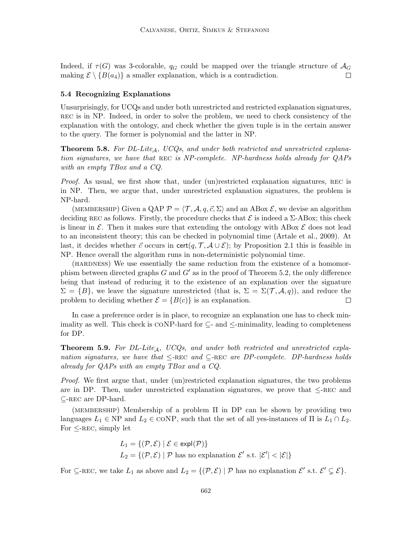Indeed, if  $\tau(G)$  was 3-colorable,  $q_G$  could be mapped over the triangle structure of  $\mathcal{A}_G$ making  $\mathcal{E} \setminus \{B(a_4)\}\$ a smaller explanation, which is a contradiction. □

# 5.4 Recognizing Explanations

Unsurprisingly, for UCQs and under both unrestricted and restricted explanation signatures, REC is in NP. Indeed, in order to solve the problem, we need to check consistency of the explanation with the ontology, and check whether the given tuple is in the certain answer to the query. The former is polynomial and the latter in NP.

**Theorem 5.8.** For DL-Lite<sub>A</sub>, UCQs, and under both restricted and unrestricted explanation signatures, we have that REC is NP-complete. NP-hardness holds already for QAPs with an empty TBox and a CQ.

Proof. As usual, we first show that, under (un)restricted explanation signatures, REC is in NP. Then, we argue that, under unrestricted explanation signatures, the problem is NP-hard.

(MEMBERSHIP) Given a QAP  $\mathcal{P} = \langle \mathcal{T}, \mathcal{A}, q, \vec{c}, \Sigma \rangle$  and an ABox  $\mathcal{E}$ , we devise an algorithm deciding REC as follows. Firstly, the procedure checks that  $\mathcal E$  is indeed a  $\Sigma$ -ABox; this check is linear in  $\mathcal E$ . Then it makes sure that extending the ontology with ABox  $\mathcal E$  does not lead to an inconsistent theory; this can be checked in polynomial time (Artale et al., 2009). At last, it decides whether  $\vec{c}$  occurs in cert $(q, \mathcal{T}, \mathcal{A} \cup \mathcal{E})$ ; by Proposition 2.1 this is feasible in NP. Hence overall the algorithm runs in non-deterministic polynomial time.

(HARDNESS) We use essentially the same reduction from the existence of a homomorphism between directed graphs  $G$  and  $G'$  as in the proof of Theorem 5.2, the only difference being that instead of reducing it to the existence of an explanation over the signature  $\Sigma = \{B\}$ , we leave the signature unrestricted (that is,  $\Sigma = \Sigma(\mathcal{T}, \mathcal{A}, q)$ ), and reduce the problem to deciding whether  $\mathcal{E} = \{B(c)\}\$ is an explanation.  $\Box$ 

In case a preference order is in place, to recognize an explanation one has to check minimality as well. This check is CONP-hard for  $\subseteq$ - and  $\le$ -minimality, leading to completeness for DP.

**Theorem 5.9.** For DL-Lite<sub>A</sub>, UCQs, and under both restricted and unrestricted explanation signatures, we have that  $\leq$ -REC and  $\subseteq$ -REC are DP-complete. DP-hardness holds already for QAPs with an empty TBox and a CQ.

Proof. We first argue that, under (un)restricted explanation signatures, the two problems are in DP. Then, under unrestricted explanation signatures, we prove that  $\leq$ -REC and  $\subseteq$ -REC are DP-hard.

(MEMBERSHIP) Membership of a problem  $\Pi$  in DP can be shown by providing two languages  $L_1 \in \text{NP}$  and  $L_2 \in \text{CONF}$ , such that the set of all yes-instances of  $\Pi$  is  $L_1 \cap L_2$ . For  $\leq$ -REC, simply let

$$
L_1 = \{ (\mathcal{P}, \mathcal{E}) \mid \mathcal{E} \in \text{expl}(\mathcal{P}) \}
$$
  
 
$$
L_2 = \{ (\mathcal{P}, \mathcal{E}) \mid \mathcal{P} \text{ has no explanation } \mathcal{E}' \text{ s.t. } |\mathcal{E}'| < |\mathcal{E}| \}
$$

For  $\subseteq$ -REC, we take  $L_1$  as above and  $L_2 = \{(\mathcal{P}, \mathcal{E}) \mid \mathcal{P} \text{ has no explanation } \mathcal{E}' \text{ s.t. } \mathcal{E}' \subsetneq \mathcal{E}\}.$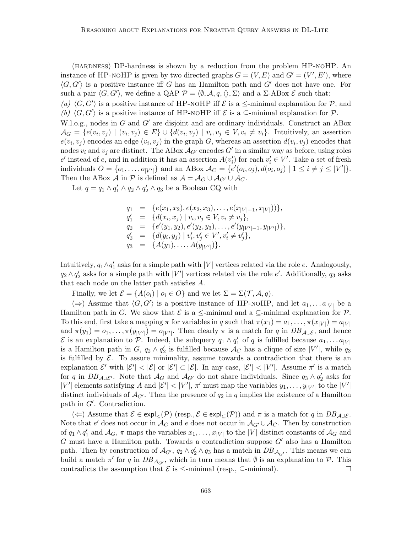(hardness) DP-hardness is shown by a reduction from the problem HP-noHP. An instance of HP-NOHP is given by two directed graphs  $G = (V, E)$  and  $G' = (V', E')$ , where  $\langle G, G' \rangle$  is a positive instance iff G has an Hamilton path and G' does not have one. For such a pair  $\langle G, G' \rangle$ , we define a QAP  $\mathcal{P} = \langle \emptyset, \mathcal{A}, q, \langle \rangle, \Sigma \rangle$  and a  $\Sigma$ -ABox  $\mathcal{E}$  such that:

(a)  $\langle G, G' \rangle$  is a positive instance of HP-NOHP iff  $\mathcal E$  is a  $\le$ -minimal explanation for  $\mathcal P$ , and (b)  $\langle G, G' \rangle$  is a positive instance of HP-NOHP iff  $\mathcal E$  is a ⊆-minimal explanation for  $\mathcal P$ .

W.l.o.g., nodes in G and  $G'$  are disjoint and are ordinary individuals. Construct an ABox  $\mathcal{A}_G = \{e(v_i, v_j) \mid (v_i, v_j) \in E\} \cup \{d(v_i, v_j) \mid v_i, v_j \in V, v_i \neq v_i\}.$  Intuitively, an assertion  $e(v_i, v_j)$  encodes an edge  $(v_i, v_j)$  in the graph G, whereas an assertion  $d(v_i, v_j)$  encodes that nodes  $v_i$  and  $v_j$  are distinct. The ABox  $\mathcal{A}_{G'}$  encodes  $G'$  in a similar way as before, using roles  $e'$  instead of e, and in addition it has an assertion  $A(v'_i)$  for each  $v'_i \in V'$ . Take a set of fresh individuals  $O = \{o_1, \ldots, o_{|V'|}\}\$ and an ABox  $\mathcal{A}_C = \{e'(o_i, o_j), d(o_i, o_j) \mid 1 \leq i \neq j \leq |V'| \}.$ Then the ABox A in P is defined as  $\mathcal{A} = \mathcal{A}_G \cup \mathcal{A}_{G'} \cup \mathcal{A}_{C}$ .

Let  $q = q_1 \wedge q'_1 \wedge q_2 \wedge q'_2 \wedge q_3$  be a Boolean CQ with

$$
q_1 = \{e(x_1, x_2), e(x_2, x_3), \dots, e(x_{|V|-1}, x_{|V|})\},
$$
  
\n
$$
q'_1 = \{d(x_i, x_j) \mid v_i, v_j \in V, v_i \neq v_j\},
$$
  
\n
$$
q_2 = \{e'(y_1, y_2), e'(y_2, y_3), \dots, e'(y_{|V'|-1}, y_{|V'|})\},
$$
  
\n
$$
q'_2 = \{d(y_i, y_j) \mid v'_i, v'_j \in V', v'_i \neq v'_j\},
$$
  
\n
$$
q_3 = \{A(y_1), \dots, A(y_{|V'|})\}.
$$

Intuitively,  $q_1 \wedge q'_1$  asks for a simple path with  $|V|$  vertices related via the role  $e$ . Analogously,  $q_2 \wedge q'_2$  asks for a simple path with  $|V'|$  vertices related via the role  $e'$ . Additionally,  $q_3$  asks that each node on the latter path satisfies A.

Finally, we let  $\mathcal{E} = \{A(o_i) \mid o_i \in O\}$  and we let  $\Sigma = \Sigma(\mathcal{T}, \mathcal{A}, q)$ .

(⇒) Assume that  $\langle G, G' \rangle$  is a positive instance of HP-NOHP, and let  $a_1, \ldots a_{|V|}$  be a Hamilton path in G. We show that  $\mathcal E$  is a  $\leq$ -minimal and a  $\subseteq$ -minimal explanation for  $\mathcal P$ . To this end, first take a mapping  $\pi$  for variables in q such that  $\pi(x_1) = a_1, \ldots, \pi(x_{|V|}) = a_{|V|}$ and  $\pi(y_1) = o_1, \ldots, \pi(y_{|V'|}) = o_{|V'|}$ . Then clearly  $\pi$  is a match for q in  $DB_{\mathcal{A} \cup \mathcal{E}}$ , and hence E is an explanation to P. Indeed, the subquery  $q_1 \wedge q'_1$  of q is fulfilled because  $a_1, \ldots a_{|V|}$ is a Hamilton path in  $G$ ,  $q_2 \wedge q'_2$  is fulfilled because  $\mathcal{A}_C$  has a clique of size  $|V'|$ , while  $q_3$ is fulfilled by  $\mathcal{E}$ . To assure minimality, assume towards a contradiction that there is an explanation  $\mathcal{E}'$  with  $|\mathcal{E}'| < |\mathcal{E}|$  or  $|\mathcal{E}'| \subset |\mathcal{E}|$ . In any case,  $|\mathcal{E}'| < |V'|$ . Assume  $\pi'$  is a match for q in  $DB_{\mathcal{A}\cup\mathcal{E}'}$ . Note that  $\mathcal{A}_G$  and  $\mathcal{A}_{G'}$  do not share individuals. Since  $q_3 \wedge q'_2$  asks for |V'| elements satisfying A and  $|\mathcal{E}'|$  < |V'|,  $\pi'$  must map the variables  $y_1, \ldots, y_{|V'|}$  to the |V'| distinct individuals of  $\mathcal{A}_{G'}$ . Then the presence of  $q_2$  in q implies the existence of a Hamilton path in  $G'$ . Contradiction.

(←) Assume that  $\mathcal{E} \in \exp\left(\mathcal{P}\right)$  (resp.,  $\mathcal{E} \in \exp\left(\mathcal{P}\right)$ ) and  $\pi$  is a match for q in  $DB_{\mathcal{A} \cup \mathcal{E}}$ . Note that e' does not occur in  $\mathcal{A}_G$  and e does not occur in  $\mathcal{A}_{G'} \cup \mathcal{A}_C$ . Then by construction of  $q_1 \wedge q'_1$  and  $\mathcal{A}_G$ ,  $\pi$  maps the variables  $x_1, \ldots, x_{|V|}$  to the  $|V|$  distinct constants of  $\mathcal{A}_G$  and G must have a Hamilton path. Towards a contradiction suppose  $G'$  also has a Hamilton path. Then by construction of  $\mathcal{A}_{G'}$ ,  $q_2 \wedge q'_2 \wedge q_3$  has a match in  $DB_{\mathcal{A}_{G'}}$ . This means we can build a match  $\pi'$  for q in  $DB_{\mathcal{A}_{G'}}$ , which in turn means that  $\emptyset$  is an explanation to  $\mathcal{P}$ . This contradicts the assumption that  $\mathcal E$  is  $\leq$ -minimal (resp.,  $\subseteq$ -minimal).  $\Box$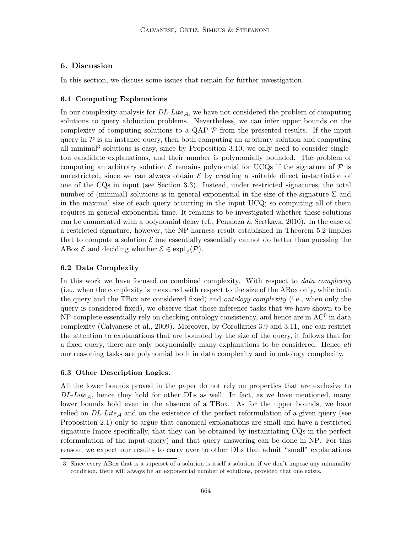# 6. Discussion

In this section, we discuss some issues that remain for further investigation.

### 6.1 Computing Explanations

In our complexity analysis for  $DL\text{-}Life_A$ , we have not considered the problem of computing solutions to query abduction problems. Nevertheless, we can infer upper bounds on the complexity of computing solutions to a QAP  $\mathcal P$  from the presented results. If the input query in  $P$  is an instance query, then both computing an arbitrary solution and computing all minimal<sup>3</sup> solutions is easy, since by Proposition 3.10, we only need to consider singleton candidate explanations, and their number is polynomially bounded. The problem of computing an arbitrary solution  $\mathcal E$  remains polynomial for UCQs if the signature of  $\mathcal P$  is unrestricted, since we can always obtain  $\mathcal E$  by creating a suitable direct instantiation of one of the CQs in input (see Section 3.3). Instead, under restricted signatures, the total number of (minimal) solutions is in general exponential in the size of the signature  $\Sigma$  and in the maximal size of each query occurring in the input UCQ; so computing all of them requires in general exponential time. It remains to be investigated whether these solutions can be enumerated with a polynomial delay (cf., Penaloza & Sertkaya, 2010). In the case of a restricted signature, however, the NP-harness result established in Theorem 5.2 implies that to compute a solution  $\mathcal E$  one essentially essentially cannot do better than guessing the ABox  $\mathcal E$  and deciding whether  $\mathcal E \in \exp[\sqrt{\mathcal P}]$ .

#### 6.2 Data Complexity

In this work we have focused on combined complexity. With respect to *data complexity* (i.e., when the complexity is measured with respect to the size of the ABox only, while both the query and the TBox are considered fixed) and *ontology complexity* (i.e., when only the query is considered fixed), we observe that those inference tasks that we have shown to be NP-complete essentially rely on checking ontology consistency, and hence are in  $AC^0$  in data complexity (Calvanese et al., 2009). Moreover, by Corollaries 3.9 and 3.11, one can restrict the attention to explanations that are bounded by the size of the query, it follows that for a fixed query, there are only polynomially many explanations to be considered. Hence all our reasoning tasks are polynomial both in data complexity and in ontology complexity.

#### 6.3 Other Description Logics.

All the lower bounds proved in the paper do not rely on properties that are exclusive to  $DL\text{-}Lie_A$ , hence they hold for other DLs as well. In fact, as we have mentioned, many lower bounds hold even in the absence of a TBox. As for the upper bounds, we have relied on  $DL\text{-}Lite_{\mathcal{A}}$  and on the existence of the perfect reformulation of a given query (see Proposition 2.1) only to argue that canonical explanations are small and have a restricted signature (more specifically, that they can be obtained by instantiating CQs in the perfect reformulation of the input query) and that query answering can be done in NP. For this reason, we expect our results to carry over to other DLs that admit "small" explanations

<sup>3.</sup> Since every ABox that is a superset of a solution is itself a solution, if we don't impose any minimality condition, there will always be an exponential number of solutions, provided that one exists.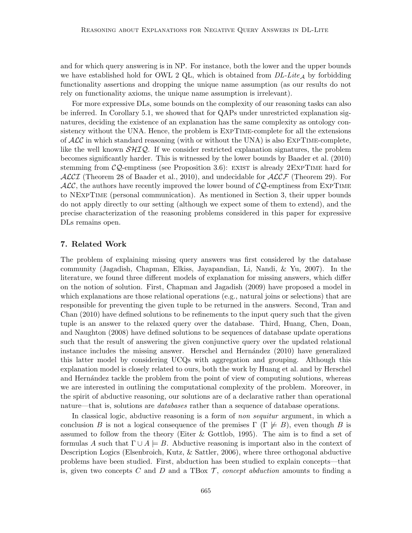and for which query answering is in NP. For instance, both the lower and the upper bounds we have established hold for OWL 2 QL, which is obtained from  $DL\text{-}Lie_A$  by forbidding functionality assertions and dropping the unique name assumption (as our results do not rely on functionality axioms, the unique name assumption is irrelevant).

For more expressive DLs, some bounds on the complexity of our reasoning tasks can also be inferred. In Corollary 5.1, we showed that for QAPs under unrestricted explanation signatures, deciding the existence of an explanation has the same complexity as ontology consistency without the UNA. Hence, the problem is ExpTime-complete for all the extensions of  $\mathcal{ALC}$  in which standard reasoning (with or without the UNA) is also EXPTIME-complete, like the well known  $\mathcal{SILQ}$ . If we consider restricted explanation signatures, the problem becomes significantly harder. This is witnessed by the lower bounds by Baader et al. (2010) stemming from  $\mathcal{CQ}$ -emptiness (see Proposition 3.6): EXIST is already 2EXPTIME hard for  $\mathcal{ALCI}$  (Theorem 28 of Baader et al., 2010), and undecidable for  $\mathcal{ALCF}$  (Theorem 29). For  $\mathcal{ALC}$ , the authors have recently improved the lower bound of  $\mathcal{CQ}$ -emptiness from EXPTIME to NExpTime (personal communication). As mentioned in Section 3, their upper bounds do not apply directly to our setting (although we expect some of them to extend), and the precise characterization of the reasoning problems considered in this paper for expressive DLs remains open.

# 7. Related Work

The problem of explaining missing query answers was first considered by the database community (Jagadish, Chapman, Elkiss, Jayapandian, Li, Nandi, & Yu, 2007). In the literature, we found three different models of explanation for missing answers, which differ on the notion of solution. First, Chapman and Jagadish (2009) have proposed a model in which explanations are those relational operations (e.g., natural joins or selections) that are responsible for preventing the given tuple to be returned in the answers. Second, Tran and Chan (2010) have defined solutions to be refinements to the input query such that the given tuple is an answer to the relaxed query over the database. Third, Huang, Chen, Doan, and Naughton (2008) have defined solutions to be sequences of database update operations such that the result of answering the given conjunctive query over the updated relational instance includes the missing answer. Herschel and Hernández (2010) have generalized this latter model by considering UCQs with aggregation and grouping. Although this explanation model is closely related to ours, both the work by Huang et al. and by Herschel and Hernández tackle the problem from the point of view of computing solutions, whereas we are interested in outlining the computational complexity of the problem. Moreover, in the spirit of abductive reasoning, our solutions are of a declarative rather than operational nature—that is, solutions are *databases* rather than a sequence of database operations.

In classical logic, abductive reasoning is a form of non sequitur argument, in which a conclusion B is not a logical consequence of the premises  $\Gamma$  ( $\Gamma \not\models B$ ), even though B is assumed to follow from the theory (Eiter & Gottlob, 1995). The aim is to find a set of formulas A such that  $\Gamma \cup A \models B$ . Abductive reasoning is important also in the context of Description Logics (Elsenbroich, Kutz, & Sattler, 2006), where three orthogonal abductive problems have been studied. First, abduction has been studied to explain concepts—that is, given two concepts C and D and a TBox  $\mathcal{T}$ , concept abduction amounts to finding a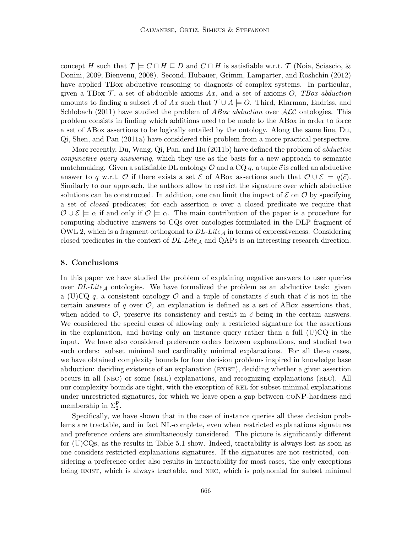concept H such that  $\mathcal{T} \models C \sqcap H \sqsubseteq D$  and  $C \sqcap H$  is satisfiable w.r.t.  $\mathcal{T}$  (Noia, Sciascio, & Donini, 2009; Bienvenu, 2008). Second, Hubauer, Grimm, Lamparter, and Roshchin (2012) have applied TBox abductive reasoning to diagnosis of complex systems. In particular, given a TBox  $\mathcal{T}$ , a set of abducible axioms Ax, and a set of axioms O, TBox abduction amounts to finding a subset A of Ax such that  $\mathcal{T} \cup A \models O$ . Third, Klarman, Endriss, and Schlobach (2011) have studied the problem of  $ABox$  abduction over  $\mathcal{ALC}$  ontologies. This problem consists in finding which additions need to be made to the ABox in order to force a set of ABox assertions to be logically entailed by the ontology. Along the same line, Du, Qi, Shen, and Pan (2011a) have considered this problem from a more practical perspective.

More recently, Du, Wang, Qi, Pan, and Hu (2011b) have defined the problem of abductive conjunctive query answering, which they use as the basis for a new approach to semantic matchmaking. Given a satisfiable DL ontology  $\mathcal O$  and a CQ q, a tuple  $\vec c$  is called an abductive answer to q w.r.t. O if there exists a set  $\mathcal E$  of ABox assertions such that  $\mathcal O \cup \mathcal E \models q(\vec c)$ . Similarly to our approach, the authors allow to restrict the signature over which abductive solutions can be constructed. In addition, one can limit the impact of  $\mathcal E$  on  $\mathcal O$  by specifying a set of *closed* predicates; for each assertion  $\alpha$  over a closed predicate we require that  $\mathcal{O} \cup \mathcal{E} \models \alpha$  if and only if  $\mathcal{O} \models \alpha$ . The main contribution of the paper is a procedure for computing abductive answers to CQs over ontologies formulated in the DLP fragment of OWL 2, which is a fragment orthogonal to  $DL\text{-}Lite_A$  in terms of expressiveness. Considering closed predicates in the context of  $DL\text{-}Like_{\mathcal{A}}$  and QAPs is an interesting research direction.

# 8. Conclusions

In this paper we have studied the problem of explaining negative answers to user queries over  $DL\text{-}Lite_A$  ontologies. We have formalized the problem as an abductive task: given a (U)CQ q, a consistent ontology O and a tuple of constants  $\vec{c}$  such that  $\vec{c}$  is not in the certain answers of q over  $\mathcal{O}$ , an explanation is defined as a set of ABox assertions that, when added to  $\mathcal{O}$ , preserve its consistency and result in  $\vec{c}$  being in the certain answers. We considered the special cases of allowing only a restricted signature for the assertions in the explanation, and having only an instance query rather than a full  $(U)CQ$  in the input. We have also considered preference orders between explanations, and studied two such orders: subset minimal and cardinality minimal explanations. For all these cases, we have obtained complexity bounds for four decision problems inspired in knowledge base abduction: deciding existence of an explanation (exist), deciding whether a given assertion occurs in all (nec) or some (rel) explanations, and recognizing explanations (rec). All our complexity bounds are tight, with the exception of rel for subset minimal explanations under unrestricted signatures, for which we leave open a gap between coNP-hardness and membership in  $\Sigma_2^{\mathsf{P}}$ .

Specifically, we have shown that in the case of instance queries all these decision problems are tractable, and in fact NL-complete, even when restricted explanations signatures and preference orders are simultaneously considered. The picture is significantly different for (U)CQs, as the results in Table 5.1 show. Indeed, tractability is always lost as soon as one considers restricted explanations signatures. If the signatures are not restricted, considering a preference order also results in intractability for most cases, the only exceptions being exist, which is always tractable, and nec, which is polynomial for subset minimal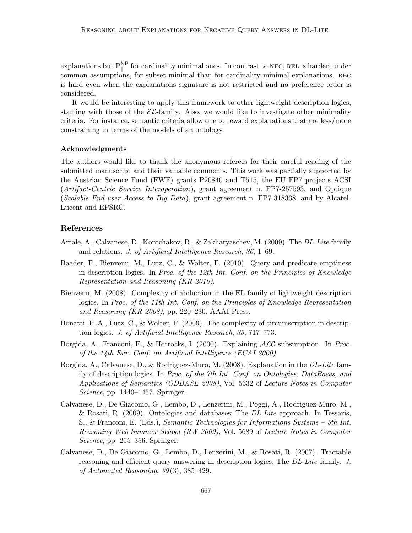explanations but  $P_{\parallel}^{\text{NP}}$  for cardinality minimal ones. In contrast to NEC, REL is harder, under common assumptions, for subset minimal than for cardinality minimal explanations. rec is hard even when the explanations signature is not restricted and no preference order is considered.

It would be interesting to apply this framework to other lightweight description logics, starting with those of the  $\mathcal{EL}$ -family. Also, we would like to investigate other minimality criteria. For instance, semantic criteria allow one to reward explanations that are less/more constraining in terms of the models of an ontology.

### Acknowledgments

The authors would like to thank the anonymous referees for their careful reading of the submitted manuscript and their valuable comments. This work was partially supported by the Austrian Science Fund (FWF) grants P20840 and T515, the EU FP7 projects ACSI (Artifact-Centric Service Interoperation), grant agreement n. FP7-257593, and Optique (Scalable End-user Access to Big Data), grant agreement n. FP7-318338, and by Alcatel-Lucent and EPSRC.

# References

- Artale, A., Calvanese, D., Kontchakov, R., & Zakharyaschev, M. (2009). The DL-Lite family and relations. J. of Artificial Intelligence Research, 36, 1–69.
- Baader, F., Bienvenu, M., Lutz, C., & Wolter, F. (2010). Query and predicate emptiness in description logics. In Proc. of the 12th Int. Conf. on the Principles of Knowledge Representation and Reasoning (KR 2010).
- Bienvenu, M. (2008). Complexity of abduction in the EL family of lightweight description logics. In Proc. of the 11th Int. Conf. on the Principles of Knowledge Representation and Reasoning  $(KR 2008)$ , pp. 220–230. AAAI Press.
- Bonatti, P. A., Lutz, C., & Wolter, F. (2009). The complexity of circumscription in description logics. J. of Artificial Intelligence Research, 35, 717–773.
- Borgida, A., Franconi, E., & Horrocks, I. (2000). Explaining  $\mathcal{ALC}$  subsumption. In *Proc.* of the 14th Eur. Conf. on Artificial Intelligence (ECAI 2000).
- Borgida, A., Calvanese, D., & Rodriguez-Muro, M. (2008). Explanation in the *DL-Lite* family of description logics. In Proc. of the 7th Int. Conf. on Ontologies, DataBases, and Applications of Semantics (ODBASE 2008), Vol. 5332 of Lecture Notes in Computer Science, pp. 1440–1457. Springer.
- Calvanese, D., De Giacomo, G., Lembo, D., Lenzerini, M., Poggi, A., Rodriguez-Muro, M., & Rosati, R. (2009). Ontologies and databases: The  $DL\text{-}Life$  approach. In Tessaris, S., & Franconi, E. (Eds.), Semantic Technologies for Informations Systems – 5th Int. Reasoning Web Summer School (RW 2009), Vol. 5689 of Lecture Notes in Computer Science, pp. 255–356. Springer.
- Calvanese, D., De Giacomo, G., Lembo, D., Lenzerini, M., & Rosati, R. (2007). Tractable reasoning and efficient query answering in description logics: The DL-Lite family. J. of Automated Reasoning,  $39(3)$ ,  $385-429$ .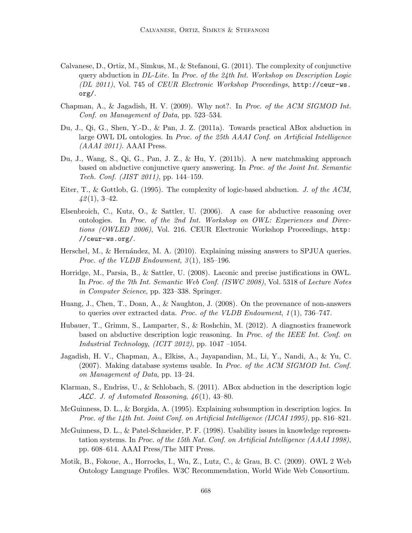- Calvanese, D., Ortiz, M., Simkus, M., & Stefanoni, G. (2011). The complexity of conjunctive query abduction in  $DL\text{-}Lite$ . In Proc. of the 24th Int. Workshop on Description Logic (DL 2011), Vol. 745 of CEUR Electronic Workshop Proceedings, http://ceur-ws. org/.
- Chapman, A., & Jagadish, H. V. (2009). Why not?. In Proc. of the ACM SIGMOD Int. Conf. on Management of Data, pp. 523–534.
- Du, J., Qi, G., Shen, Y.-D., & Pan, J. Z. (2011a). Towards practical ABox abduction in large OWL DL ontologies. In Proc. of the 25th AAAI Conf. on Artificial Intelligence  $(AAAI 2011)$ . AAAI Press.
- Du, J., Wang, S., Qi, G., Pan, J. Z., & Hu, Y. (2011b). A new matchmaking approach based on abductive conjunctive query answering. In Proc. of the Joint Int. Semantic Tech. Conf. (JIST 2011), pp. 144–159.
- Eiter, T., & Gottlob, G. (1995). The complexity of logic-based abduction. J. of the ACM,  $42(1), 3-42.$
- Elsenbroich, C., Kutz, O., & Sattler, U. (2006). A case for abductive reasoning over ontologies. In Proc. of the 2nd Int. Workshop on OWL: Experiences and Directions (OWLED 2006), Vol. 216. CEUR Electronic Workshop Proceedings, http: //ceur-ws.org/.
- Herschel, M., & Hernández, M. A. (2010). Explaining missing answers to SPJUA queries. *Proc.* of the VLDB Endowment,  $3(1)$ ,  $185-196$ .
- Horridge, M., Parsia, B., & Sattler, U. (2008). Laconic and precise justifications in OWL. In Proc. of the 7th Int. Semantic Web Conf. (ISWC 2008), Vol. 5318 of Lecture Notes in Computer Science, pp. 323–338. Springer.
- Huang, J., Chen, T., Doan, A., & Naughton, J. (2008). On the provenance of non-answers to queries over extracted data. Proc. of the VLDB Endowment, 1 (1), 736–747.
- Hubauer, T., Grimm, S., Lamparter, S., & Roshchin, M. (2012). A diagnostics framework based on abductive description logic reasoning. In Proc. of the IEEE Int. Conf. on Industrial Technology, (ICIT 2012), pp. 1047 –1054.
- Jagadish, H. V., Chapman, A., Elkiss, A., Jayapandian, M., Li, Y., Nandi, A., & Yu, C. (2007). Making database systems usable. In Proc. of the ACM SIGMOD Int. Conf. on Management of Data, pp. 13–24.
- Klarman, S., Endriss, U., & Schlobach, S. (2011). ABox abduction in the description logic ALC. J. of Automated Reasoning,  $46(1)$ , 43–80.
- McGuinness, D. L., & Borgida, A. (1995). Explaining subsumption in description logics. In Proc. of the 14th Int. Joint Conf. on Artificial Intelligence (IJCAI 1995), pp. 816–821.
- McGuinness, D. L., & Patel-Schneider, P. F. (1998). Usability issues in knowledge representation systems. In Proc. of the 15th Nat. Conf. on Artificial Intelligence (AAAI 1998), pp. 608–614. AAAI Press/The MIT Press.
- Motik, B., Fokoue, A., Horrocks, I., Wu, Z., Lutz, C., & Grau, B. C. (2009). OWL 2 Web Ontology Language Profiles. W3C Recommendation, World Wide Web Consortium.